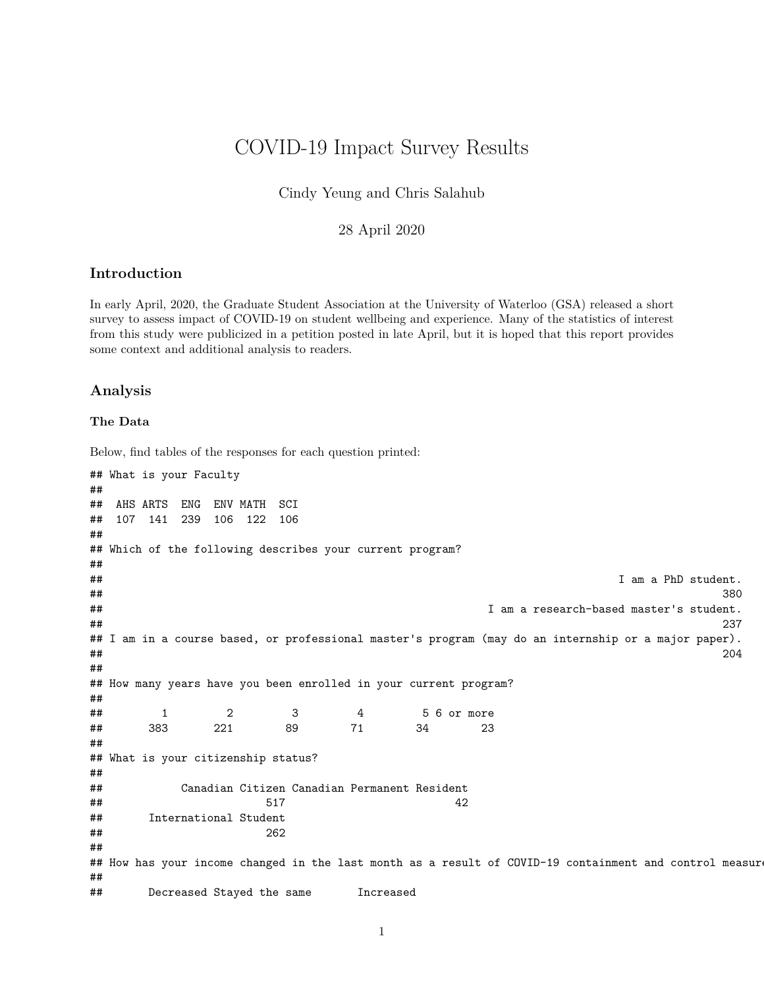## COVID-19 Impact Survey Results

Cindy Yeung and Chris Salahub

### 28 April 2020

### **Introduction**

In early April, 2020, the Graduate Student Association at the University of Waterloo (GSA) released a short survey to assess impact of COVID-19 on student wellbeing and experience. Many of the statistics of interest from this study were publicized in a petition posted in late April, but it is hoped that this report provides some context and additional analysis to readers.

### **Analysis**

#### **The Data**

Below, find tables of the responses for each question printed:

```
## What is your Faculty
##
## AHS ARTS ENG ENV MATH SCI
## 107 141 239 106 122 106
##
## Which of the following describes your current program?
##
## I am a PhD student.
## 380
## I am a research-based master's student.
## 237
## I am in a course based, or professional master's program (may do an internship or a major paper).
## 204
##
## How many years have you been enrolled in your current program?
##
## 1 2 3 4 5 6 or more
## 383 221 89 71 34 23
##
## What is your citizenship status?
##
## Canadian Citizen Canadian Permanent Resident
## 517 42
## International Student
## 262
##
## How has your income changed in the last month as a result of COVID-19 containment and control measur
##
## Decreased Stayed the same Increased
```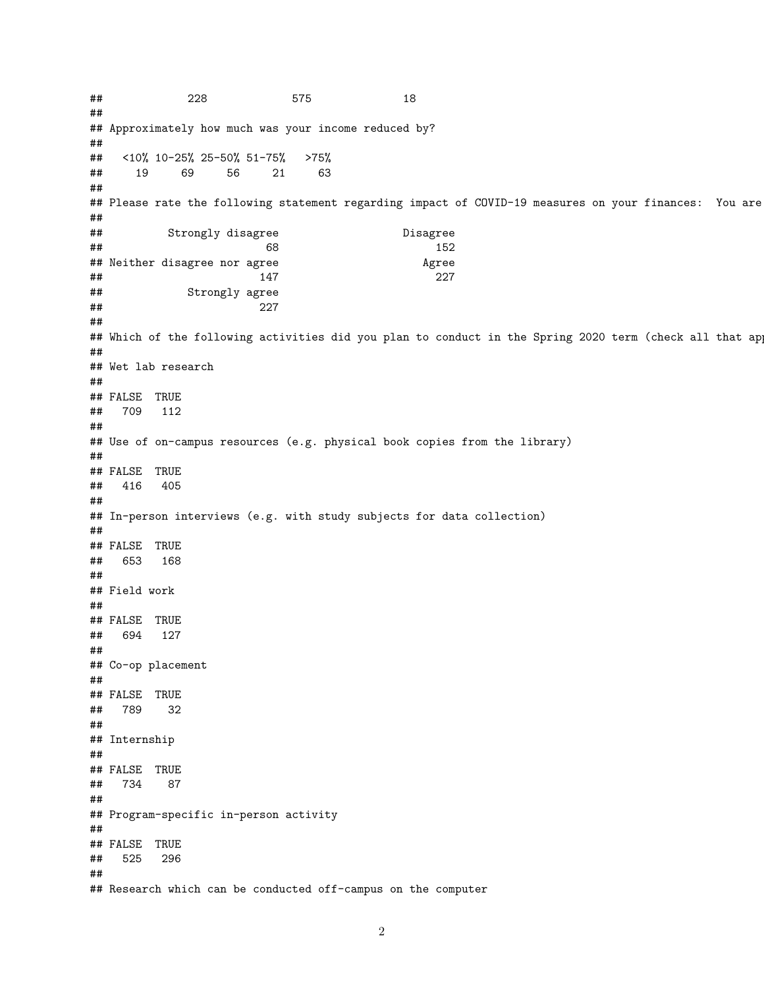## 228 575 18 ## ## Approximately how much was your income reduced by? ## ## <10% 10-25% 25-50% 51-75% >75% ## 19 69 56 21 63 ## ## Please rate the following statement regarding impact of COVID-19 measures on your finances: You are ## ## Strongly disagree Disagree ## 68 152 ## Neither disagree nor agree Agree ## 147 227 ## Strongly agree ## 227 ## ## Which of the following activities did you plan to conduct in the Spring 2020 term (check all that ap ## ## Wet lab research ## ## FALSE TRUE ## 709 112 ## ## Use of on-campus resources (e.g. physical book copies from the library) ## ## FALSE TRUE ## 416 405 ## ## In-person interviews (e.g. with study subjects for data collection) ## ## FALSE TRUE ## 653 168 ## ## Field work ## ## FALSE TRUE ## 694 127 ## ## Co-op placement ## ## FALSE TRUE ## 789 32 ## ## Internship ## ## FALSE TRUE ## 734 87 ## ## Program-specific in-person activity ## ## FALSE TRUE ## 525 296 ## ## Research which can be conducted off-campus on the computer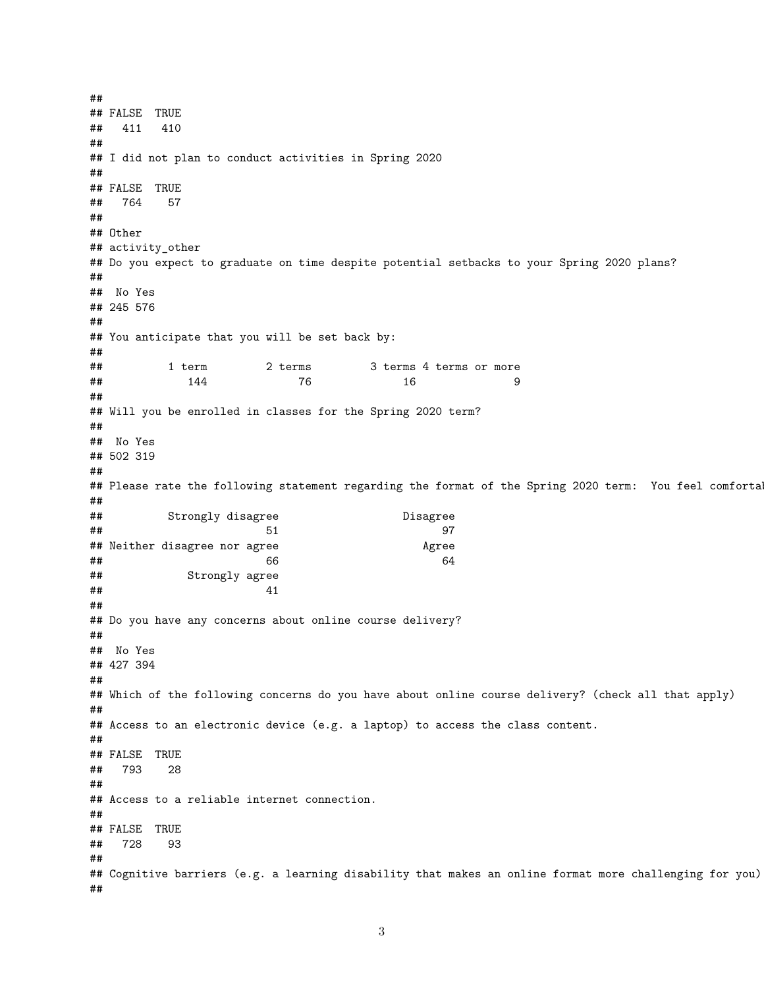## ## FALSE TRUE ## 411 410 ## ## I did not plan to conduct activities in Spring 2020 ## ## FALSE TRUE ## 764 57 ## ## Other ## activity\_other ## Do you expect to graduate on time despite potential setbacks to your Spring 2020 plans? ## ## No Yes ## 245 576 ## ## You anticipate that you will be set back by: ## ## 1 term 2 terms 3 terms 4 terms or more **##** 144 76 16 9 ## ## Will you be enrolled in classes for the Spring 2020 term? ## ## No Yes ## 502 319 ## ## Please rate the following statement regarding the format of the Spring 2020 term: You feel comforta ## ## Strongly disagree Disagree ## 51 97 ## Neither disagree nor agree Agree ## 66 64 ## Strongly agree  $\#$ # 41 ## ## Do you have any concerns about online course delivery? ## ## No Yes ## 427 394 ## ## Which of the following concerns do you have about online course delivery? (check all that apply) ## ## Access to an electronic device (e.g. a laptop) to access the class content. ## ## FALSE TRUE ## 793 28 ## ## Access to a reliable internet connection. ## ## FALSE TRUE ## 728 93 ## ## Cognitive barriers (e.g. a learning disability that makes an online format more challenging for you). ##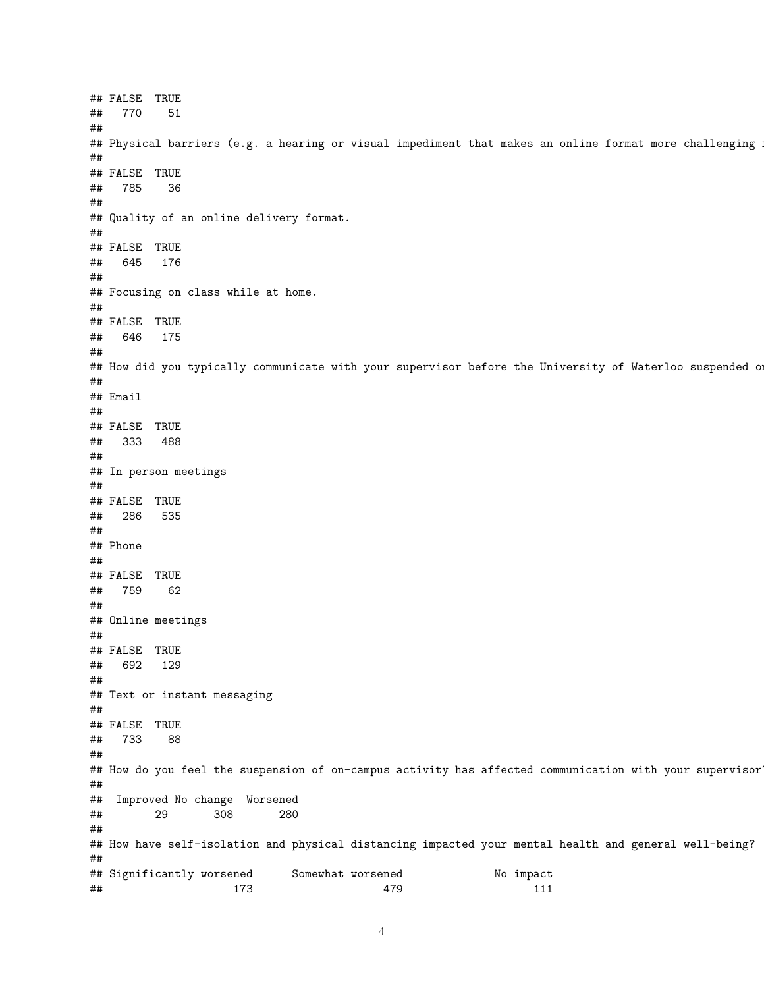## FALSE TRUE ## 770 51 ## ## Physical barriers (e.g. a hearing or visual impediment that makes an online format more challenging ## ## FALSE TRUE ## 785 36 ## ## Quality of an online delivery format. ## ## FALSE TRUE ## 645 176 ## ## Focusing on class while at home. ## ## FALSE TRUE ## 646 175 ## ## How did you typically communicate with your supervisor before the University of Waterloo suspended on ## ## Email ## ## FALSE TRUE ## 333 488 ## ## In person meetings ## ## FALSE TRUE ## 286 535 ## ## Phone ## ## FALSE TRUE ## 759 62 ## ## Online meetings ## ## FALSE TRUE ## 692 129 ## ## Text or instant messaging ## ## FALSE TRUE ## 733 88 ## ## How do you feel the suspension of on-campus activity has affected communication with your supervisor? ## ## Improved No change Worsened ## 29 308 280 ## ## How have self-isolation and physical distancing impacted your mental health and general well-being? ## ## Significantly worsened Somewhat worsened No impact ## 173 479 111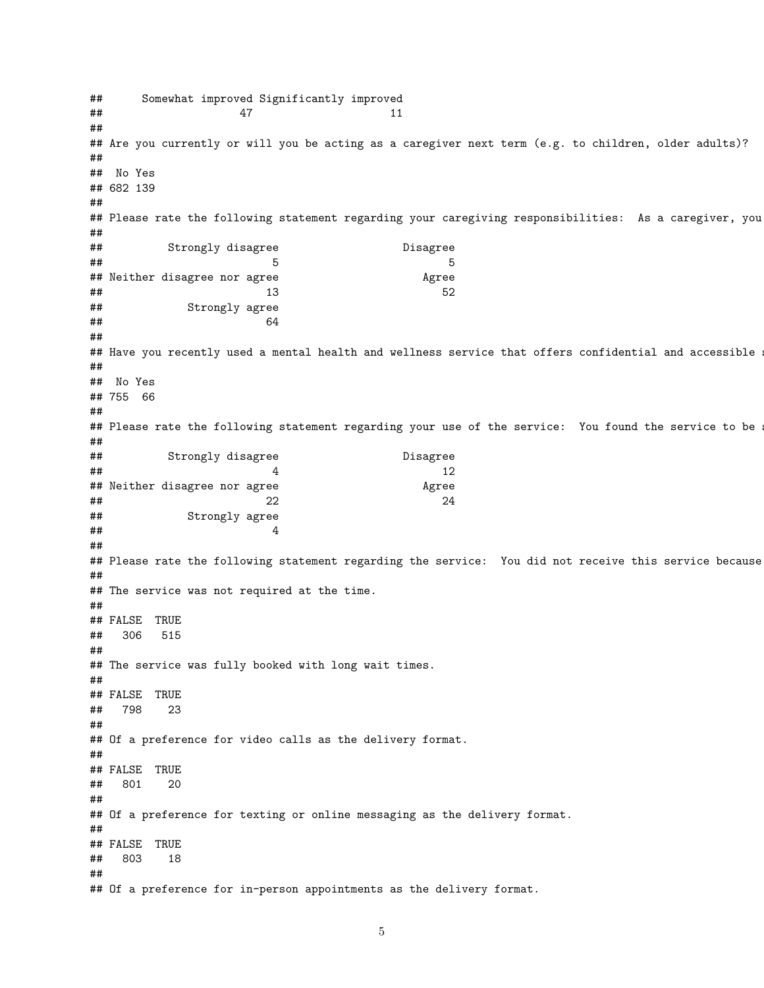## Somewhat improved Significantly improved ## 47 11 ## ## Are you currently or will you be acting as a caregiver next term (e.g. to children, older adults)? ## ## No Yes ## 682 139 ## ## Please rate the following statement regarding your caregiving responsibilities: As a caregiver, you ## ## Strongly disagree Disagree  $\#$ # ## Neither disagree nor agree Agree  $\#$   $\#$  52 ## Strongly agree ## 64 ## ## Have you recently used a mental health and wellness service that offers confidential and accessible ## ## No Yes ## 755 66 ## ## Please rate the following statement regarding your use of the service: You found the service to be ## ## Strongly disagree Disagree  $\#$   $\#$   $\#$   $\frac{12}{2}$ ## Neither disagree nor agree Agree  $\#$   $\#$   $\#$   $\frac{22}{4}$ ## Strongly agree  $\#$ # 4 ## ## Please rate the following statement regarding the service: You did not receive this service because ## ## The service was not required at the time. ## ## FALSE TRUE ## 306 515 ## ## The service was fully booked with long wait times. ## ## FALSE TRUE ## 798 23 ## ## Of a preference for video calls as the delivery format. ## ## FALSE TRUE ## 801 20 ## ## Of a preference for texting or online messaging as the delivery format. ## ## FALSE TRUE ## 803 18 ## ## Of a preference for in-person appointments as the delivery format.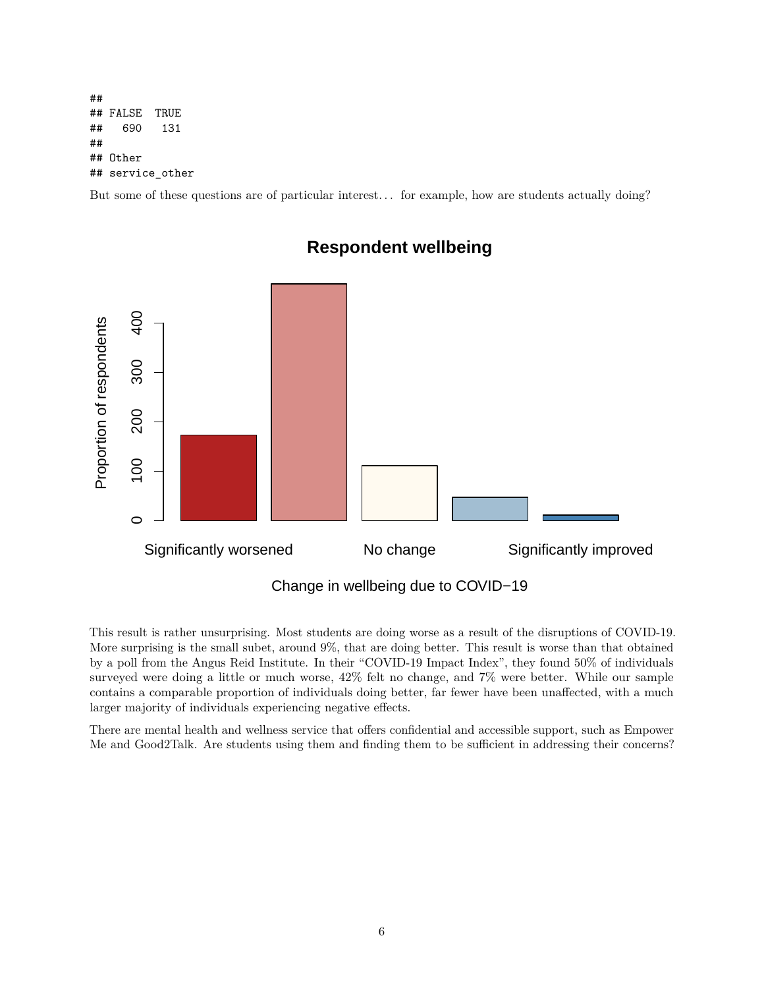## ## FALSE TRUE ## 690 131 ## ## Other ## service other

But some of these questions are of particular interest. . . for example, how are students actually doing?



### **Respondent wellbeing**

This result is rather unsurprising. Most students are doing worse as a result of the disruptions of COVID-19. More surprising is the small subet, around 9%, that are doing better. This result is worse than that obtained by a poll from the Angus Reid Institute. In their "COVID-19 Impact Index", they found 50% of individuals surveyed were doing a little or much worse, 42% felt no change, and 7% were better. While our sample contains a comparable proportion of individuals doing better, far fewer have been unaffected, with a much larger majority of individuals experiencing negative effects.

There are mental health and wellness service that offers confidential and accessible support, such as Empower Me and Good2Talk. Are students using them and finding them to be sufficient in addressing their concerns?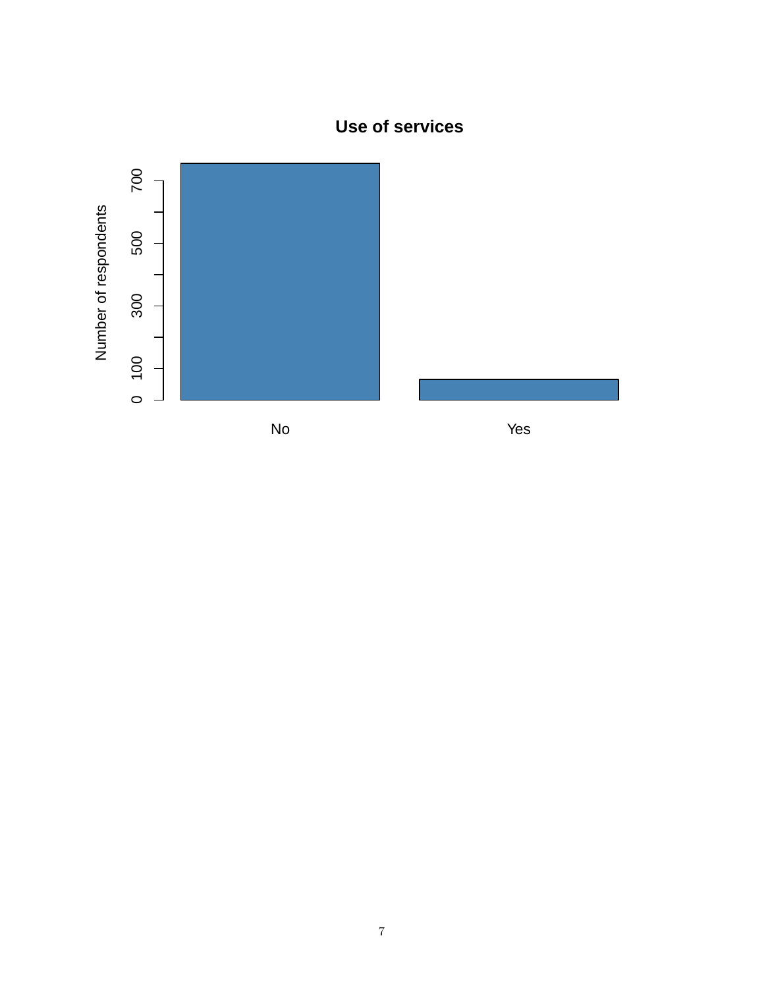# **Use of services**

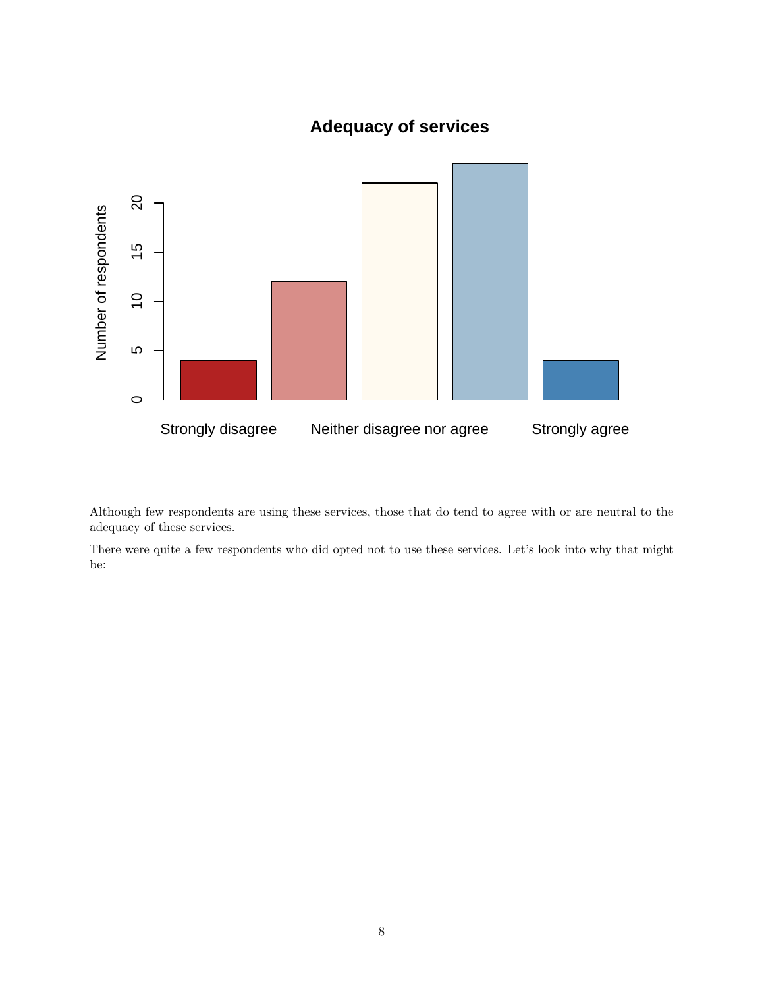## **Adequacy of services**



Although few respondents are using these services, those that do tend to agree with or are neutral to the adequacy of these services.

There were quite a few respondents who did opted not to use these services. Let's look into why that might be: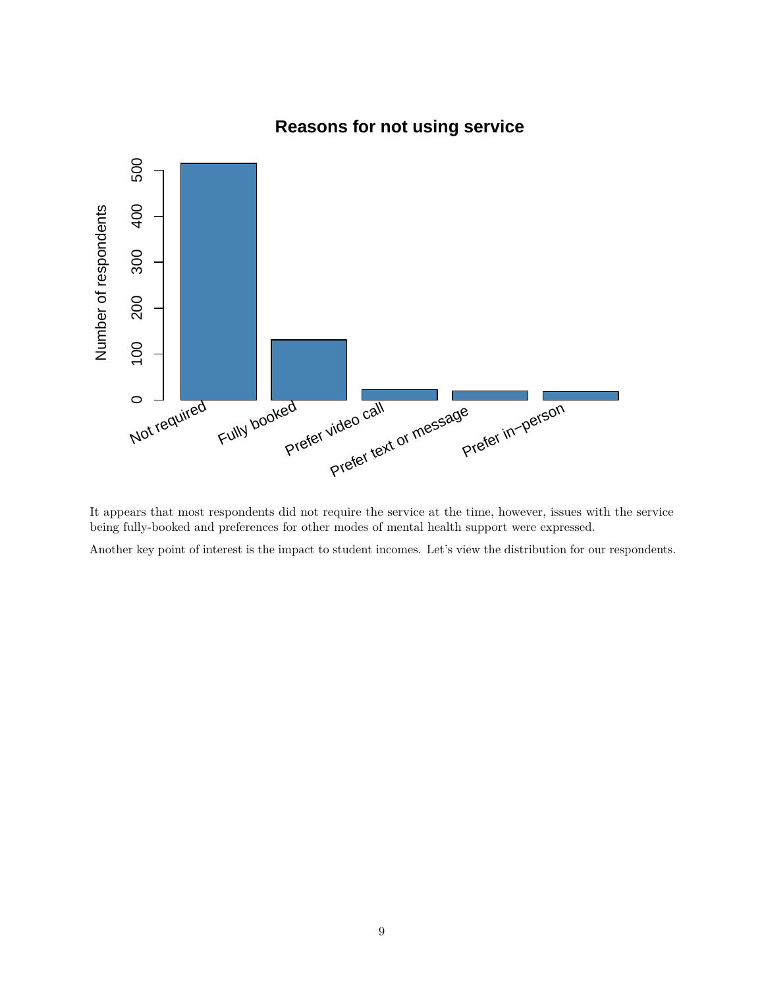

## **Reasons for not using service**

It appears that most respondents did not require the service at the time, however, issues with the service being fully-booked and preferences for other modes of mental health support were expressed.

Another key point of interest is the impact to student incomes. Let's view the distribution for our respondents.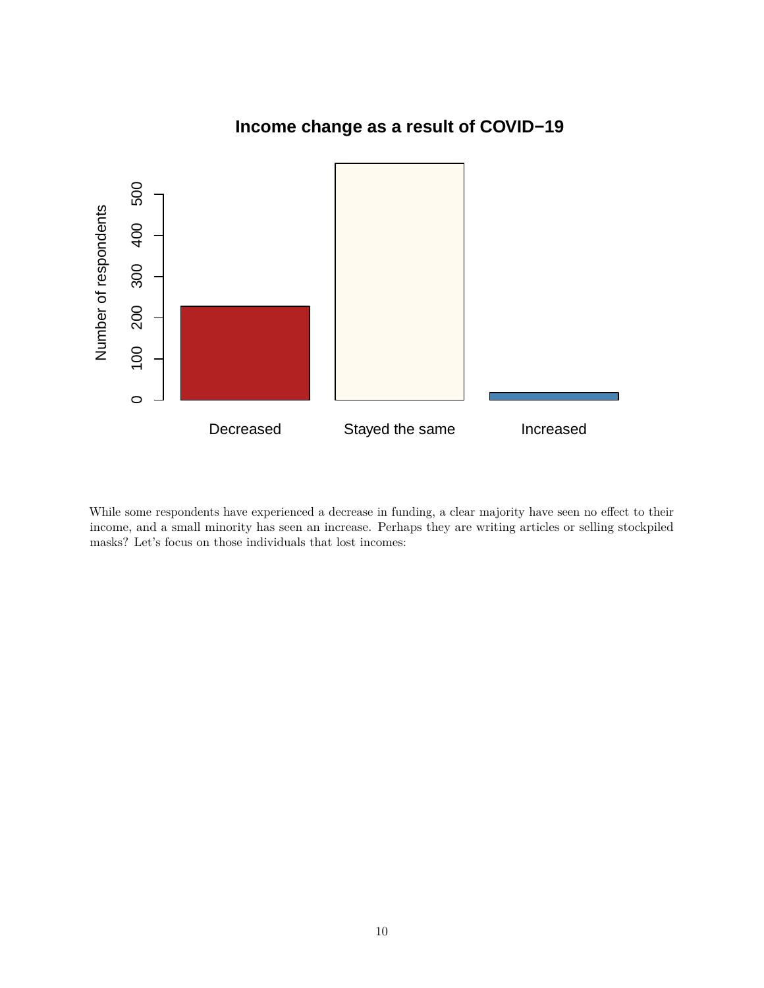

## **Income change as a result of COVID−19**

While some respondents have experienced a decrease in funding, a clear majority have seen no effect to their income, and a small minority has seen an increase. Perhaps they are writing articles or selling stockpiled masks? Let's focus on those individuals that lost incomes: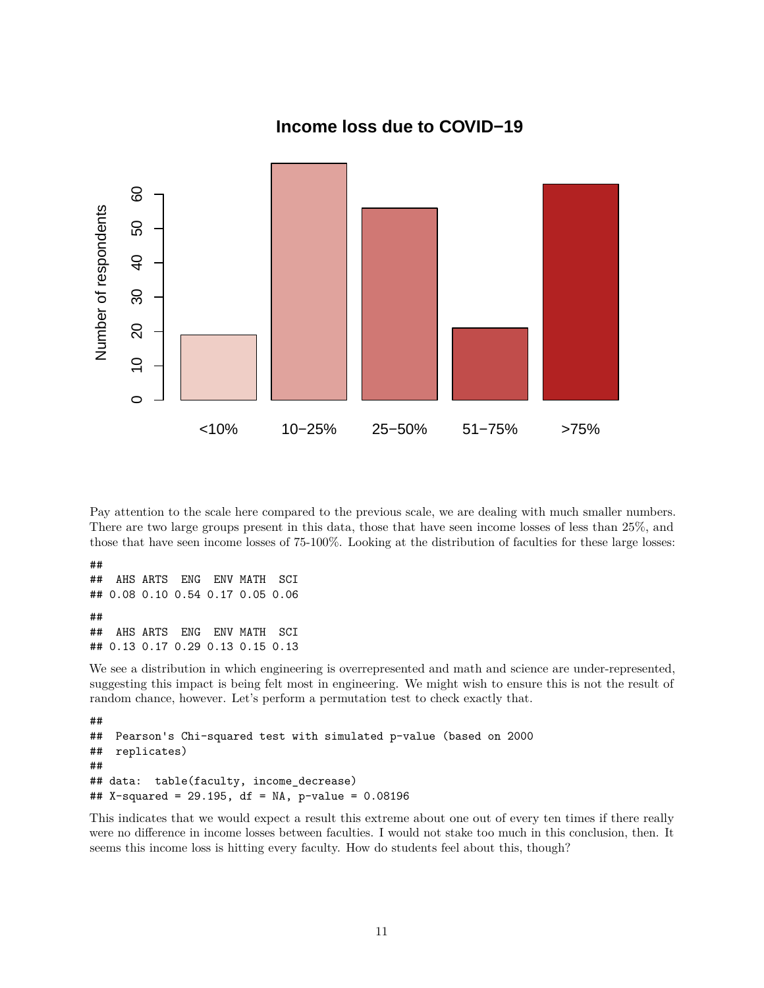

**Income loss due to COVID−19**

Pay attention to the scale here compared to the previous scale, we are dealing with much smaller numbers. There are two large groups present in this data, those that have seen income losses of less than 25%, and those that have seen income losses of 75-100%. Looking at the distribution of faculties for these large losses:

## ## AHS ARTS ENG ENV MATH SCI ## 0.08 0.10 0.54 0.17 0.05 0.06 ## ## AHS ARTS ENG ENV MATH SCI ## 0.13 0.17 0.29 0.13 0.15 0.13

We see a distribution in which engineering is overrepresented and math and science are under-represented, suggesting this impact is being felt most in engineering. We might wish to ensure this is not the result of random chance, however. Let's perform a permutation test to check exactly that.

```
##
## Pearson's Chi-squared test with simulated p-value (based on 2000
## replicates)
##
## data: table(faculty, income_decrease)
## X-squared = 29.195, df = NA, p-value = 0.08196
```
This indicates that we would expect a result this extreme about one out of every ten times if there really were no difference in income losses between faculties. I would not stake too much in this conclusion, then. It seems this income loss is hitting every faculty. How do students feel about this, though?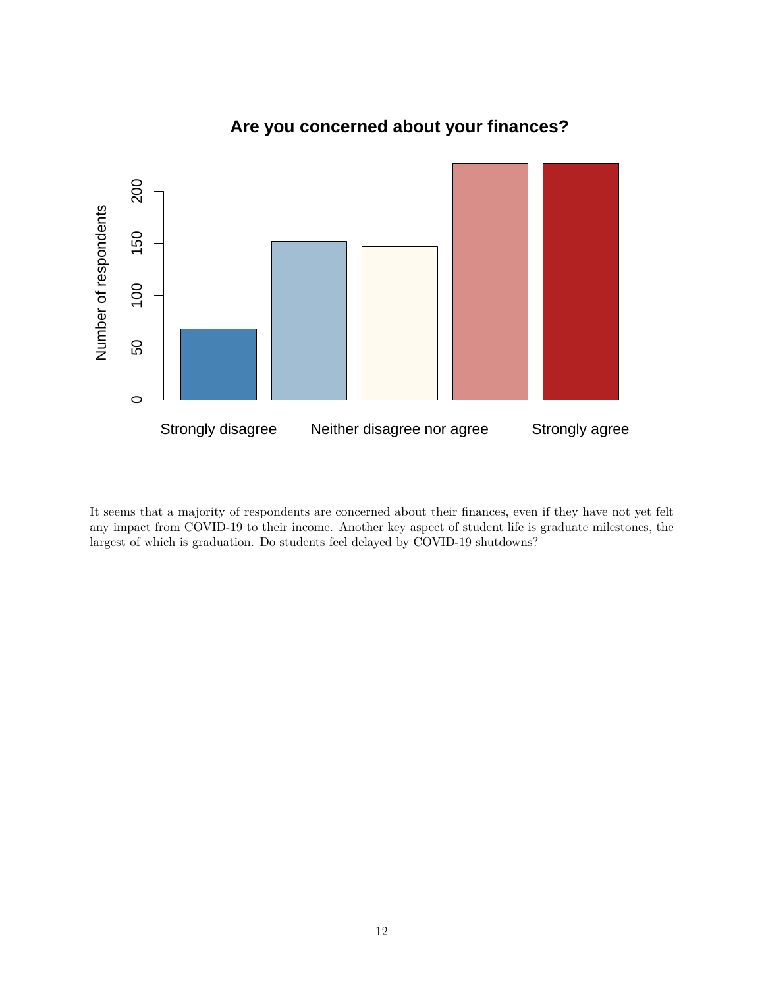

## **Are you concerned about your finances?**

It seems that a majority of respondents are concerned about their finances, even if they have not yet felt any impact from COVID-19 to their income. Another key aspect of student life is graduate milestones, the largest of which is graduation. Do students feel delayed by COVID-19 shutdowns?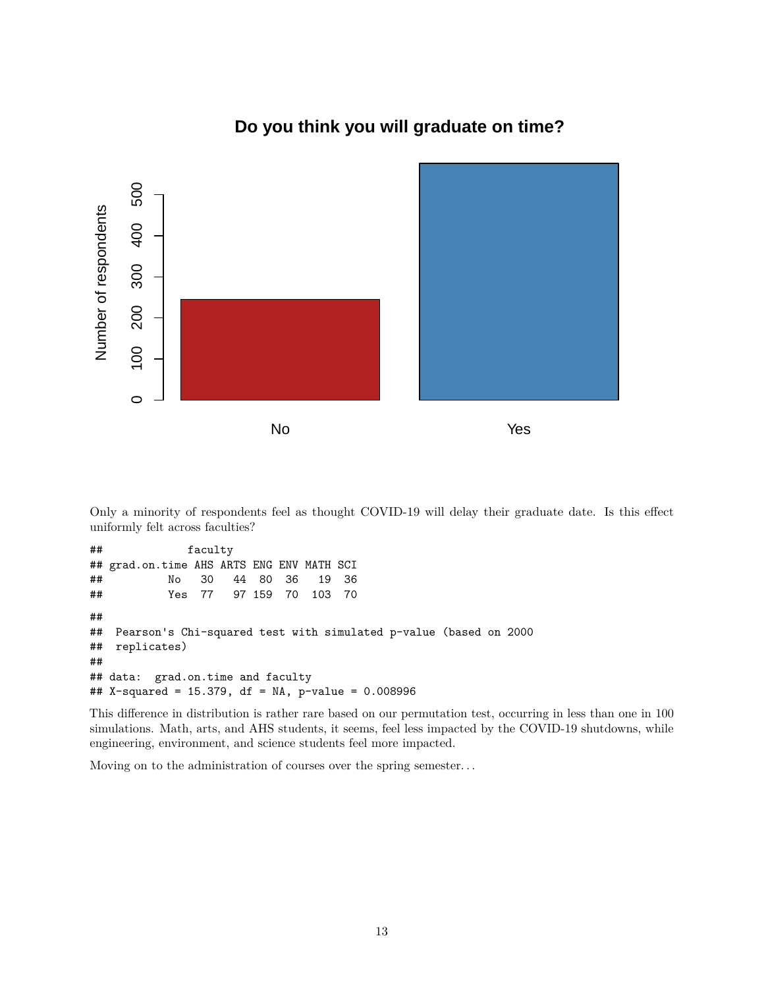

### **Do you think you will graduate on time?**

Only a minority of respondents feel as thought COVID-19 will delay their graduate date. Is this effect uniformly felt across faculties?

## faculty ## grad.on.time AHS ARTS ENG ENV MATH SCI ## No 30 44 80 36 19 36 ## Yes 77 97 159 70 103 70 ## ## Pearson's Chi-squared test with simulated p-value (based on 2000 ## replicates) ## ## data: grad.on.time and faculty ## X-squared = 15.379, df = NA, p-value = 0.008996

This difference in distribution is rather rare based on our permutation test, occurring in less than one in 100 simulations. Math, arts, and AHS students, it seems, feel less impacted by the COVID-19 shutdowns, while engineering, environment, and science students feel more impacted.

Moving on to the administration of courses over the spring semester. . .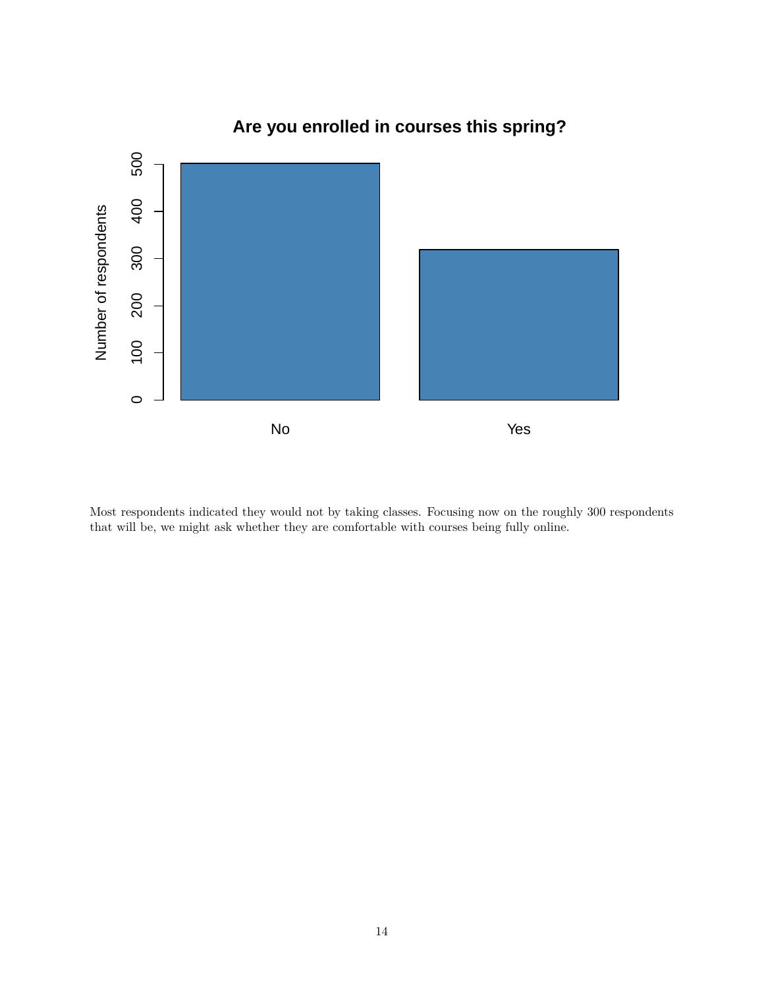

## **Are you enrolled in courses this spring?**

Most respondents indicated they would not by taking classes. Focusing now on the roughly 300 respondents that will be, we might ask whether they are comfortable with courses being fully online.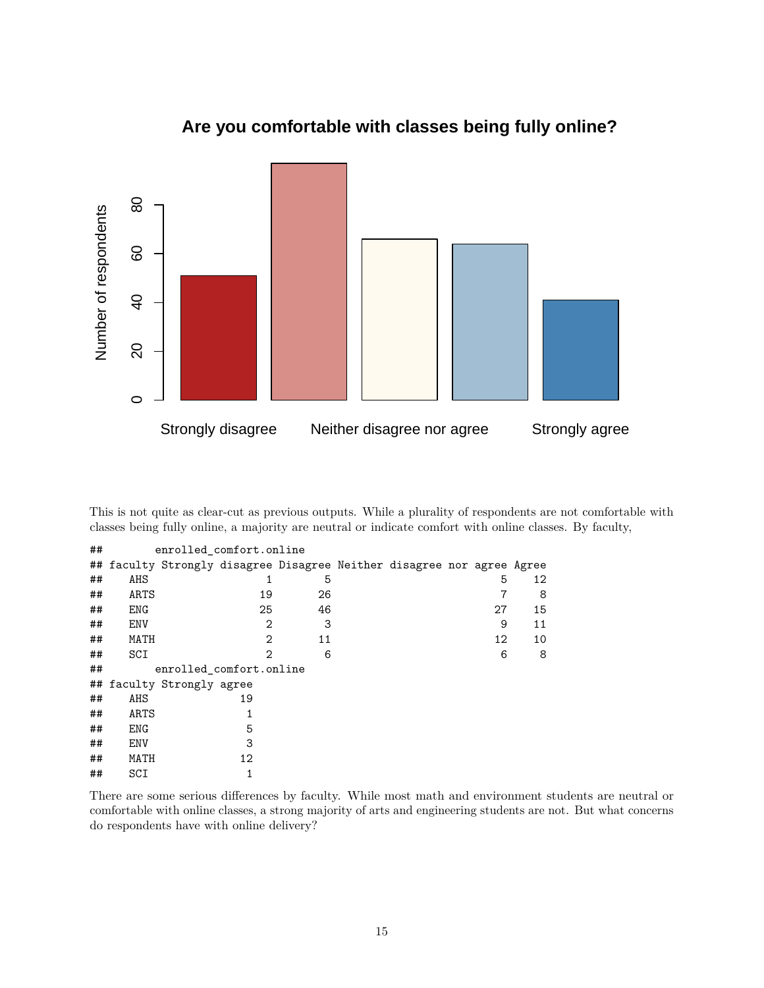

## **Are you comfortable with classes being fully online?**

This is not quite as clear-cut as previous outputs. While a plurality of respondents are not comfortable with classes being fully online, a majority are neutral or indicate comfort with online classes. By faculty,

| ## | enrolled comfort.online |                                                                        |   |    |  |  |  |    |    |
|----|-------------------------|------------------------------------------------------------------------|---|----|--|--|--|----|----|
|    |                         | ## faculty Strongly disagree Disagree Neither disagree nor agree Agree |   |    |  |  |  |    |    |
| ## | AHS                     |                                                                        |   | 5  |  |  |  | 5  | 12 |
| ## | ARTS                    | 19                                                                     |   | 26 |  |  |  |    | 8  |
| ## | ENG                     | 25                                                                     |   | 46 |  |  |  | 27 | 15 |
| ## | ENV                     |                                                                        | 2 | 3  |  |  |  | 9  | 11 |
| ## | MATH                    |                                                                        | 2 | 11 |  |  |  | 12 | 10 |
| ## | SCI                     |                                                                        | 2 | 6  |  |  |  | 6  | 8  |
| ## |                         | enrolled comfort.online                                                |   |    |  |  |  |    |    |
|    |                         | ## faculty Strongly agree                                              |   |    |  |  |  |    |    |
| ## | AHS                     | 19                                                                     |   |    |  |  |  |    |    |
| ## | ARTS                    |                                                                        |   |    |  |  |  |    |    |
| ## | ENG                     | 5                                                                      |   |    |  |  |  |    |    |
| ## | ENV                     | 3                                                                      |   |    |  |  |  |    |    |
| ## | MATH                    | 12                                                                     |   |    |  |  |  |    |    |
| ## | SCI                     |                                                                        |   |    |  |  |  |    |    |

There are some serious differences by faculty. While most math and environment students are neutral or comfortable with online classes, a strong majority of arts and engineering students are not. But what concerns do respondents have with online delivery?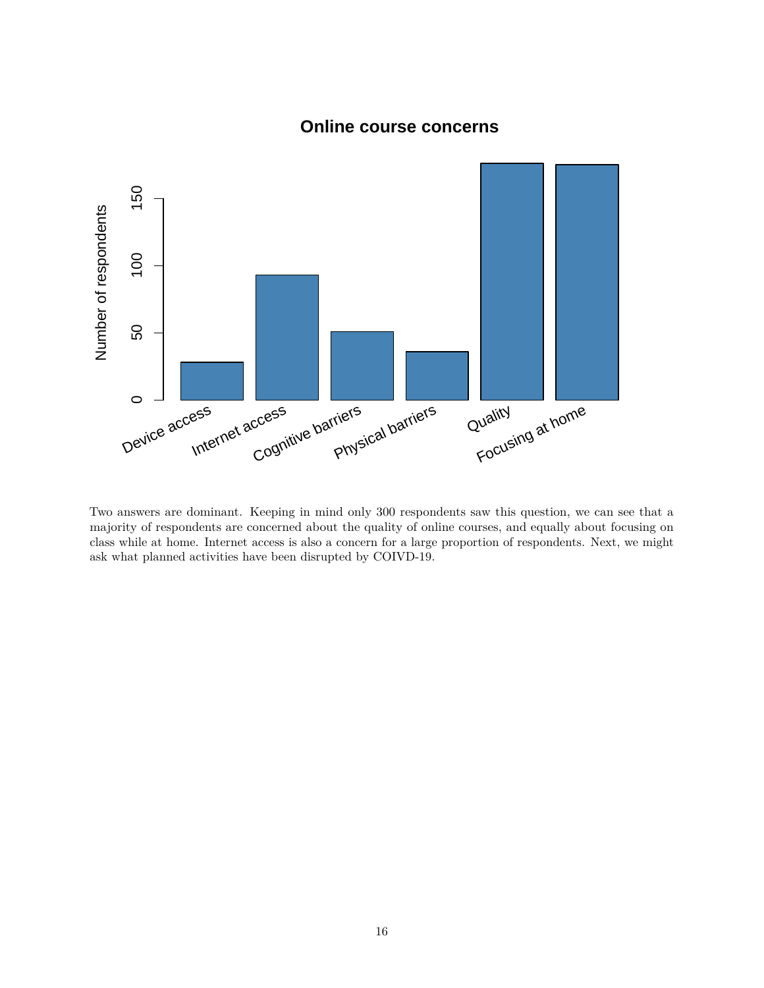

### **Online course concerns**

Two answers are dominant. Keeping in mind only 300 respondents saw this question, we can see that a majority of respondents are concerned about the quality of online courses, and equally about focusing on class while at home. Internet access is also a concern for a large proportion of respondents. Next, we might ask what planned activities have been disrupted by COIVD-19.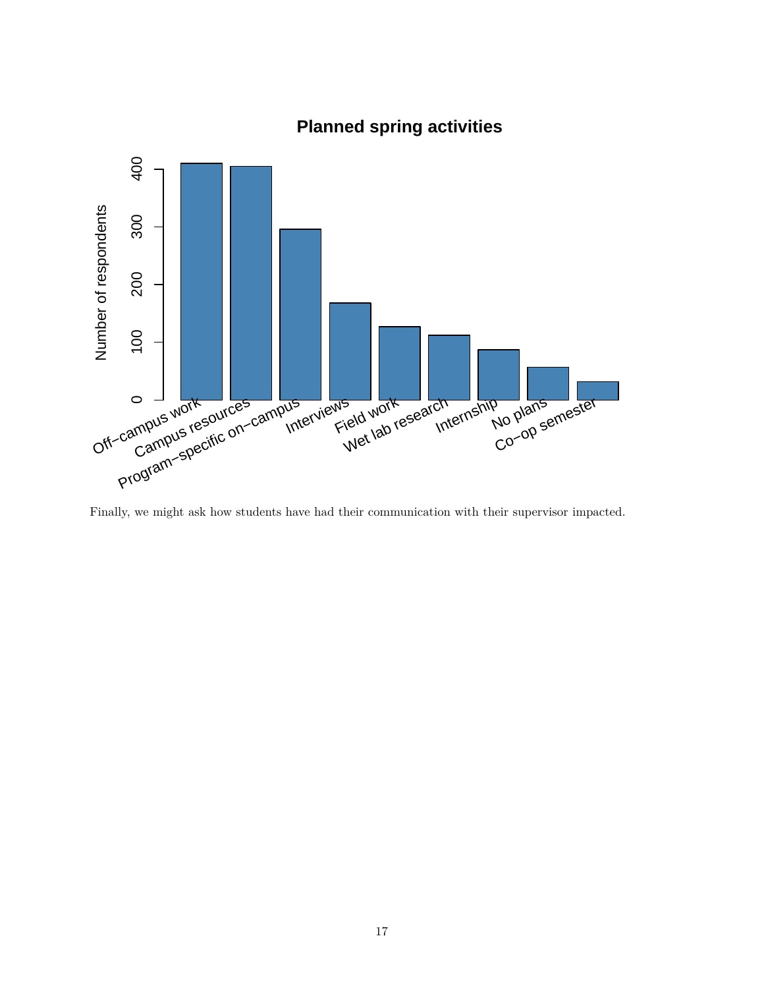

## **Planned spring activities**

Finally, we might ask how students have had their communication with their supervisor impacted.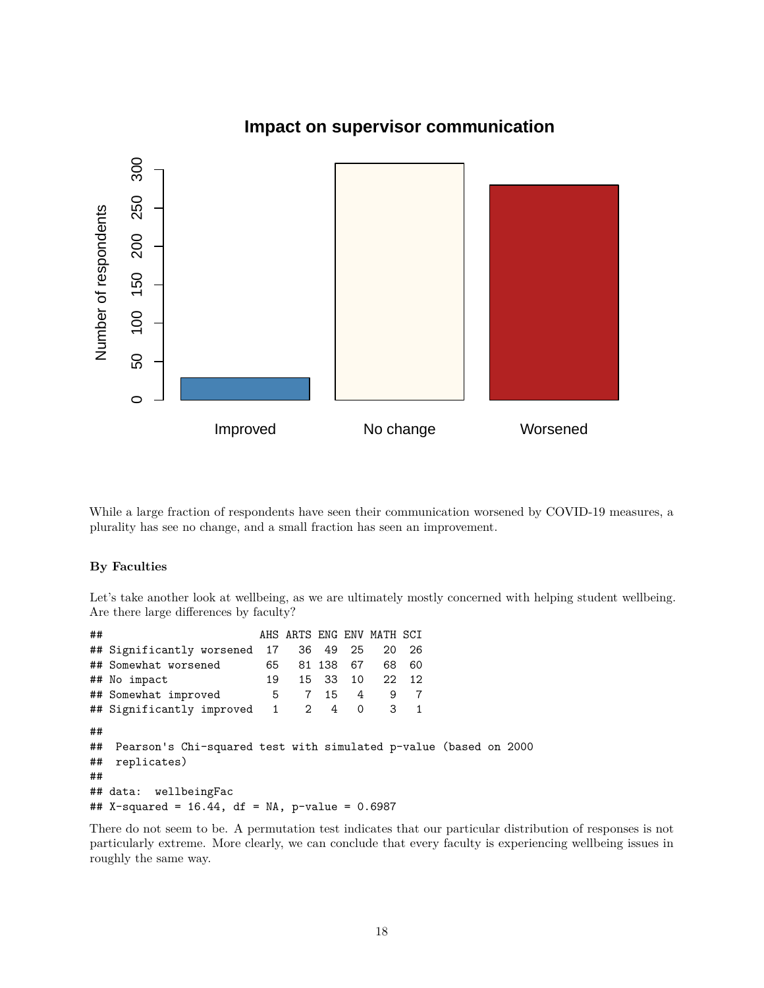

### **Impact on supervisor communication**

While a large fraction of respondents have seen their communication worsened by COVID-19 measures, a plurality has see no change, and a small fraction has seen an improvement.

### **By Faculties**

Let's take another look at wellbeing, as we are ultimately mostly concerned with helping student wellbeing. Are there large differences by faculty?

## AHS ARTS ENG ENV MATH SCI ## Significantly worsened 17 36 49 25 20 26 ## Somewhat worsened 65 81 138 67 68 60 ## No impact 19 15 33 10 22 12 ## Somewhat improved 5 7 15 4 9 7 ## Significantly improved 1 2 4 0 3 1 ## ## Pearson's Chi-squared test with simulated p-value (based on 2000 ## replicates) ## ## data: wellbeingFac ## X-squared =  $16.44$ , df = NA, p-value = 0.6987

There do not seem to be. A permutation test indicates that our particular distribution of responses is not particularly extreme. More clearly, we can conclude that every faculty is experiencing wellbeing issues in roughly the same way.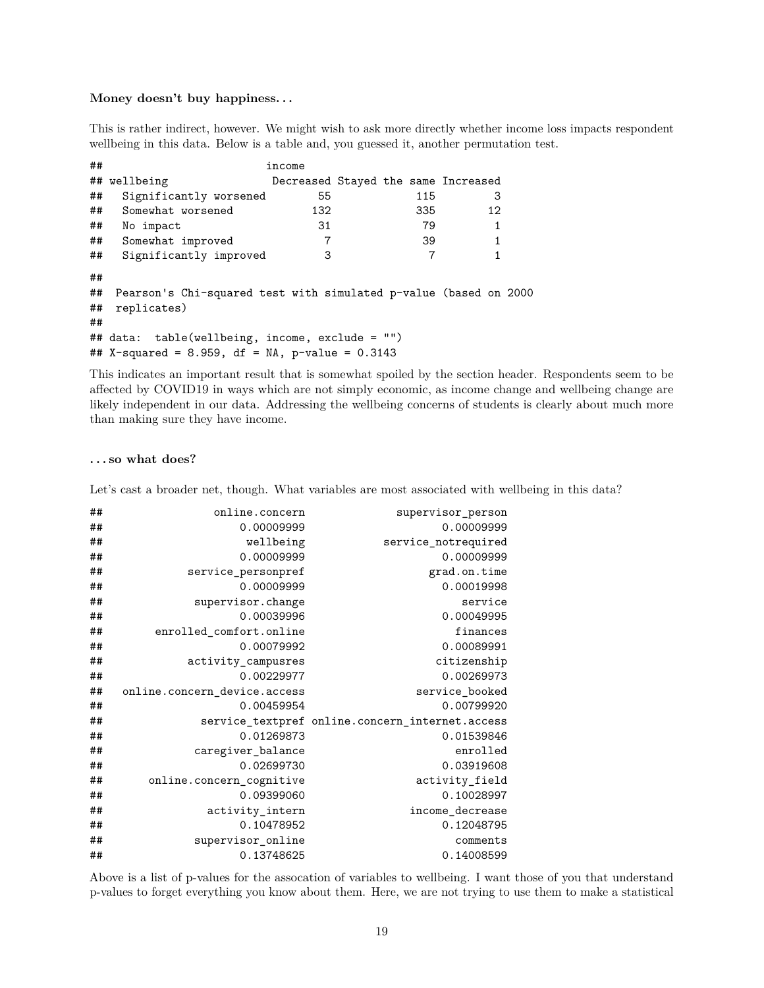#### **Money doesn't buy happiness. . .**

This is rather indirect, however. We might wish to ask more directly whether income loss impacts respondent wellbeing in this data. Below is a table and, you guessed it, another permutation test.

| ##       |                                                                  | income                              |  |     |    |  |
|----------|------------------------------------------------------------------|-------------------------------------|--|-----|----|--|
|          | ## wellbeing                                                     | Decreased Stayed the same Increased |  |     |    |  |
| ##       | Significantly worsened                                           | 55                                  |  | 115 | 3  |  |
| ##       | Somewhat worsened                                                | 132                                 |  | 335 | 12 |  |
| ##       | No impact                                                        | 31                                  |  | 79  |    |  |
| ##       | Somewhat improved                                                |                                     |  | 39  | 1  |  |
| ##       | Significantly improved                                           | 3                                   |  |     |    |  |
| ##<br>## | Pearson's Chi-squared test with simulated p-value (based on 2000 |                                     |  |     |    |  |
| ##       | replicates)                                                      |                                     |  |     |    |  |
| ##       |                                                                  |                                     |  |     |    |  |
|          | $\#$ # data: table(wellbeing, income, exclude = "")              |                                     |  |     |    |  |
|          | ## X-squared = 8.959, df = NA, p-value = $0.3143$                |                                     |  |     |    |  |

This indicates an important result that is somewhat spoiled by the section header. Respondents seem to be affected by COVID19 in ways which are not simply economic, as income change and wellbeing change are likely independent in our data. Addressing the wellbeing concerns of students is clearly about much more than making sure they have income.

#### **. . . so what does?**

Let's cast a broader net, though. What variables are most associated with wellbeing in this data?

| ## | online.concern               | supervisor_person                               |
|----|------------------------------|-------------------------------------------------|
| ## | 0.00009999                   | 0.00009999                                      |
| ## | wellbeing                    | service_notrequired                             |
| ## | 0.00009999                   | 0.00009999                                      |
| ## | service_personpref           | grad.on.time                                    |
| ## | 0.00009999                   | 0.00019998                                      |
| ## | supervisor.change            | service                                         |
| ## | 0.00039996                   | 0.00049995                                      |
| ## | enrolled comfort.online      | finances                                        |
| ## | 0.00079992                   | 0.00089991                                      |
| ## | activity_campusres           | citizenship                                     |
| ## | 0.00229977                   | 0.00269973                                      |
| ## | online.concern device.access | service booked                                  |
| ## | 0.00459954                   | 0.00799920                                      |
| ## |                              | service_textpref online.concern_internet.access |
| ## | 0.01269873                   | 0.01539846                                      |
| ## | caregiver_balance            | enrolled                                        |
| ## | 0.02699730                   | 0.03919608                                      |
| ## | online.concern cognitive     | activity_field                                  |
| ## | 0.09399060                   | 0.10028997                                      |
| ## | activity_intern              | income decrease                                 |
| ## | 0.10478952                   | 0.12048795                                      |
| ## | supervisor_online            | comments                                        |
| ## | 0.13748625                   | 0.14008599                                      |
|    |                              |                                                 |

Above is a list of p-values for the assocation of variables to wellbeing. I want those of you that understand p-values to forget everything you know about them. Here, we are not trying to use them to make a statistical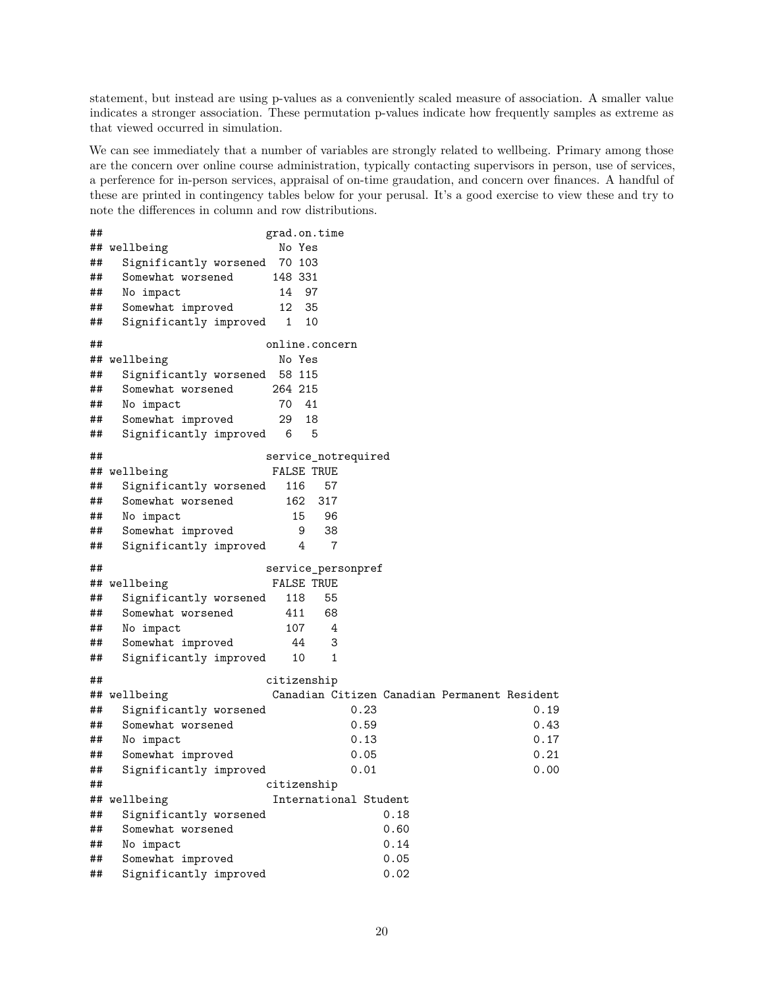statement, but instead are using p-values as a conveniently scaled measure of association. A smaller value indicates a stronger association. These permutation p-values indicate how frequently samples as extreme as that viewed occurred in simulation.

We can see immediately that a number of variables are strongly related to wellbeing. Primary among those are the concern over online course administration, typically contacting supervisors in person, use of services, a perference for in-person services, appraisal of on-time graudation, and concern over finances. A handful of these are printed in contingency tables below for your perusal. It's a good exercise to view these and try to note the differences in column and row distributions.

```
## grad.on.time
## wellbeing No Yes
## Significantly worsened 70 103
## Somewhat worsened 148 331
## No impact 14 97
## Somewhat improved 12 35
## Significantly improved 1 10
## online.concern
## wellbeing No Yes
## Significantly worsened 58 115
## Somewhat worsened 264 215
## No impact 70 41
## Somewhat improved 29 18
## Significantly improved 6 5
## service notrequired
## wellbeing FALSE TRUE
## Significantly worsened 116 57
## Somewhat worsened 162 317
## No impact 15 96
## Somewhat improved 9 38
## Significantly improved 4 7
## service_personpref
## wellbeing FALSE TRUE
## Significantly worsened 118 55
## Somewhat worsened 411 68
## No impact 107 4
## Somewhat improved 44 3
## Significantly improved 10 1
## citizenship
## wellbeing Canadian Citizen Canadian Permanent Resident
## Significantly worsened 0.23 0.19
## Somewhat worsened 0.59 0.43
## No impact 0.13 0.17
## Somewhat improved 0.05 0.21
## Significantly improved 0.01 0.00
## citizenship
## wellbeing International Student
## Significantly worsened 0.18
## Somewhat worsened 0.60
## No impact 0.14
## Somewhat improved 0.05
## Significantly improved 0.02
```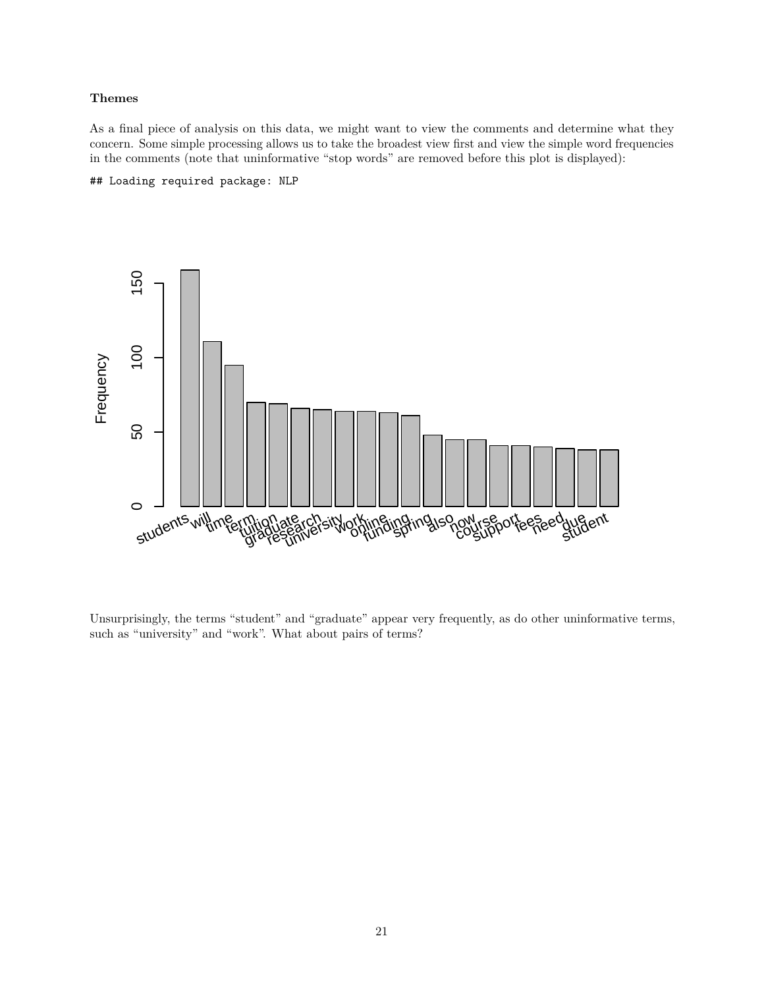#### **Themes**

As a final piece of analysis on this data, we might want to view the comments and determine what they concern. Some simple processing allows us to take the broadest view first and view the simple word frequencies in the comments (note that uninformative "stop words" are removed before this plot is displayed):

### ## Loading required package: NLP



Unsurprisingly, the terms "student" and "graduate" appear very frequently, as do other uninformative terms, such as "university" and "work". What about pairs of terms?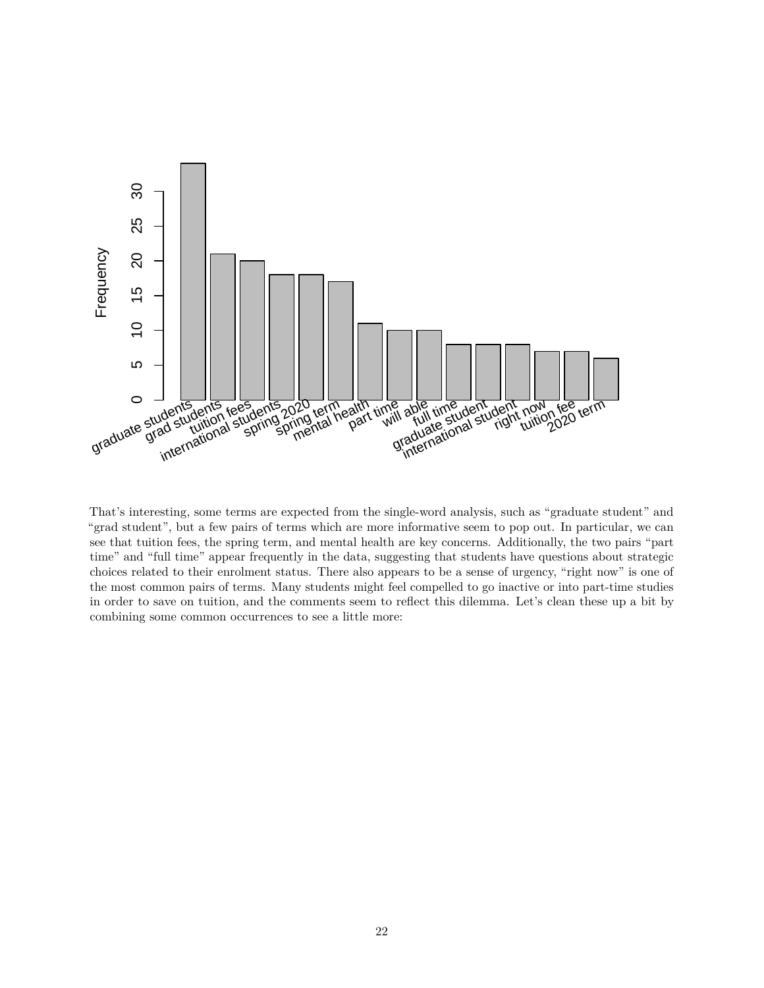

That's interesting, some terms are expected from the single-word analysis, such as "graduate student" and "grad student", but a few pairs of terms which are more informative seem to pop out. In particular, we can see that tuition fees, the spring term, and mental health are key concerns. Additionally, the two pairs "part time" and "full time" appear frequently in the data, suggesting that students have questions about strategic choices related to their enrolment status. There also appears to be a sense of urgency, "right now" is one of the most common pairs of terms. Many students might feel compelled to go inactive or into part-time studies in order to save on tuition, and the comments seem to reflect this dilemma. Let's clean these up a bit by combining some common occurrences to see a little more: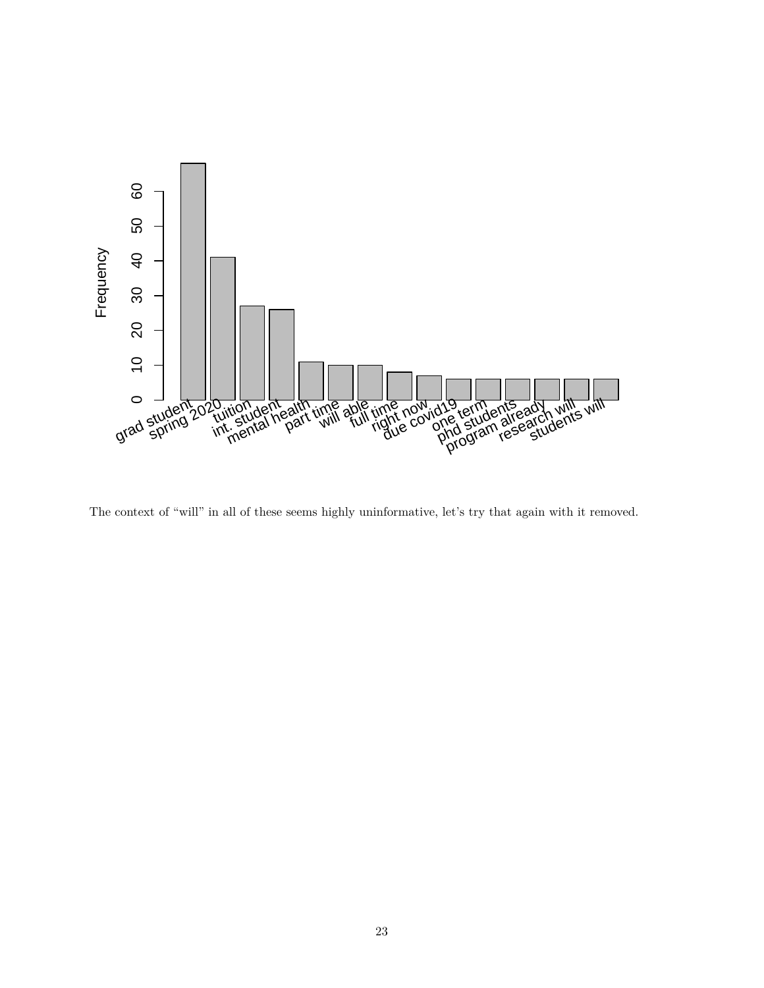

The context of "will" in all of these seems highly uninformative, let's try that again with it removed.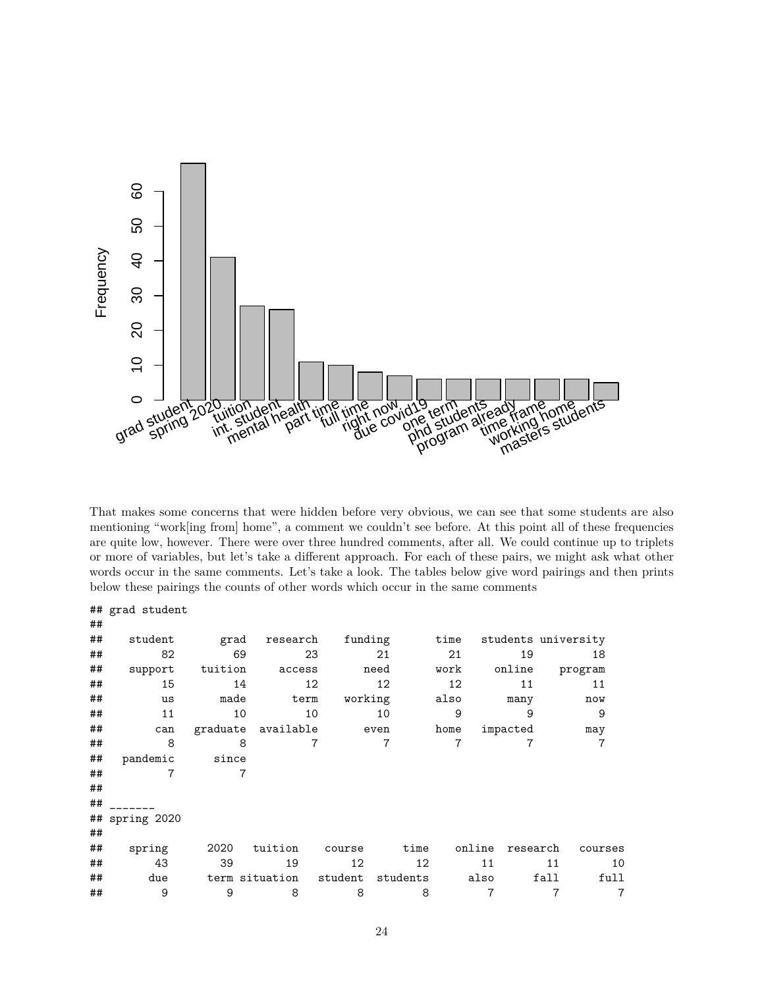

That makes some concerns that were hidden before very obvious, we can see that some students are also mentioning "work[ing from] home", a comment we couldn't see before. At this point all of these frequencies are quite low, however. There were over three hundred comments, after all. We could continue up to triplets or more of variables, but let's take a different approach. For each of these pairs, we might ask what other words occur in the same comments. Let's take a look. The tables below give word pairings and then prints below these pairings the counts of other words which occur in the same comments

|    | ## grad student           |         |                    |         |                |                 |                    |                     |                |
|----|---------------------------|---------|--------------------|---------|----------------|-----------------|--------------------|---------------------|----------------|
| ## |                           |         |                    |         |                |                 |                    |                     |                |
| ## | student                   | grad    | research           |         | funding        | time            |                    | students university |                |
| ## | 82                        | 69      |                    | 23      | 21             | 21              | 19                 |                     | 18             |
| ## | support                   | tuition | access             |         | need           | work            | online             | program             |                |
| ## | 15                        | 14      |                    | 12      | 12             | 12 <sup>°</sup> | 11                 |                     | 11             |
| ## | us                        | made    | term               |         | working        | also            | many               |                     | now            |
| ## | 11                        | 10      |                    | 10      | 10             | 9               | 9                  |                     | 9              |
| ## | can                       |         | graduate available |         | even           | home            | impacted           |                     | may            |
| ## | 8                         |         | 8                  |         | $\overline{7}$ | $\overline{7}$  |                    |                     | $\overline{7}$ |
| ## | pandemic                  | since   |                    |         |                |                 |                    |                     |                |
| ## | $\overline{7}$            |         | 7                  |         |                |                 |                    |                     |                |
| ## |                           |         |                    |         |                |                 |                    |                     |                |
| ## |                           |         |                    |         |                |                 |                    |                     |                |
|    | $\text{\#}$ # spring 2020 |         |                    |         |                |                 |                    |                     |                |
| ## |                           |         |                    |         |                |                 |                    |                     |                |
| ## | spring                    | 2020    | tuition            | course  | time           |                 | online<br>research |                     | courses        |
| ## | 43                        | 39      | 19                 | 12      | 12             |                 | 11                 | 11                  | 10             |
| ## | due                       |         | term situation     | student | students       |                 | also               | fall                | full           |
| ## | 9                         | 9       | 8                  | 8       | 8              |                 | 7                  | 7                   | $\overline{7}$ |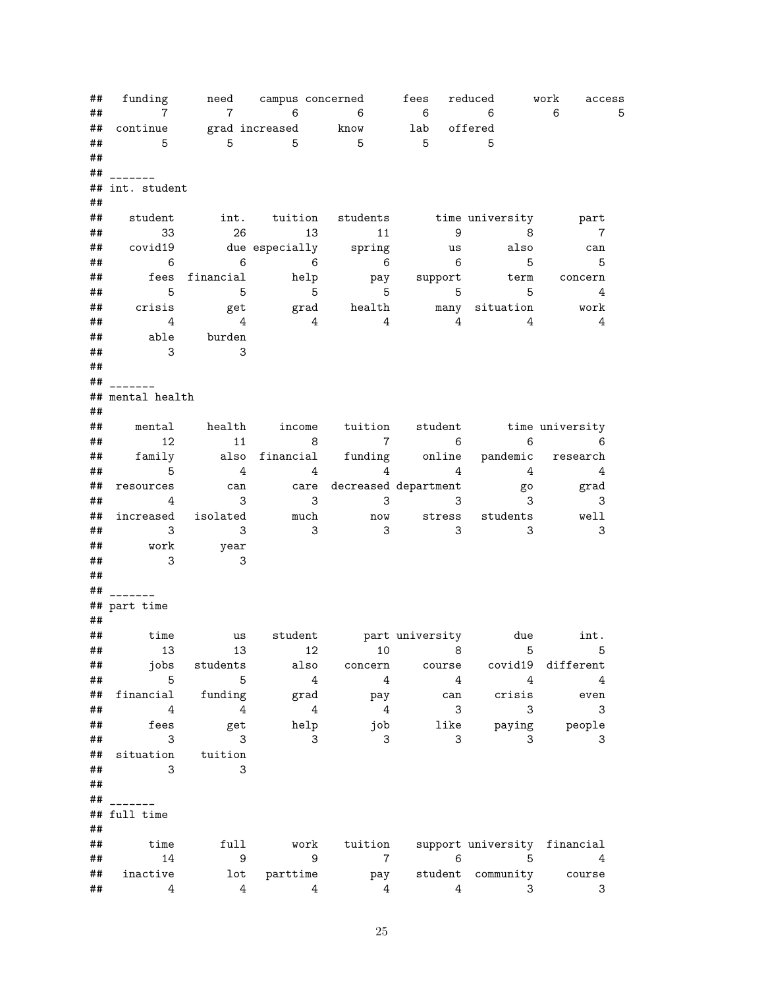| ## | funding                    |                      |                 | need campus concerned                      | fees                                        | reduced                          | work<br>access            |   |
|----|----------------------------|----------------------|-----------------|--------------------------------------------|---------------------------------------------|----------------------------------|---------------------------|---|
| ## | $\overline{7}$             | $\overline{7}$       | $\overline{6}$  | $\overline{6}$                             | $6\overline{6}$                             | 6                                | 6                         | 5 |
| ## | continue                   | grad increased know  |                 |                                            | $\begin{array}{c}\n\text{lab}\n\end{array}$ | offered                          |                           |   |
| ## | $-5$                       | $5^{\circ}$          | $\overline{5}$  | $\overline{5}$                             | $5^{\circ}$                                 | $-5$                             |                           |   |
| ## |                            |                      |                 |                                            |                                             |                                  |                           |   |
| ## |                            |                      |                 |                                            |                                             |                                  |                           |   |
| ## | int. student               |                      |                 |                                            |                                             |                                  |                           |   |
| ## |                            |                      |                 |                                            |                                             |                                  |                           |   |
| ## | student                    |                      |                 | int. tuition students time_university part |                                             |                                  |                           |   |
| ## | 33                         | 26                   | 13              | 11                                         | 9                                           | $\sim$ 8                         | $\overline{7}$            |   |
| ## | covid19                    |                      |                 | due especially spring                      | us                                          | also                             | can                       |   |
| ## | $\overline{6}$             | $6\overline{6}$      | $\overline{6}$  | $\overline{6}$                             | $6\overline{6}$                             | 5                                | 5                         |   |
| ## | fees                       | financial            | help            | pay                                        |                                             | support term                     | concern                   |   |
| ## | 5                          | $\overline{5}$       | $5\overline{5}$ | $5^{\circ}$                                | $\overline{5}$                              | 5                                | 4                         |   |
| ## | crisis                     | get                  |                 | grad health many situation                 |                                             |                                  | work                      |   |
| ## | 4                          | $\overline{4}$       | $\overline{4}$  | 4                                          | $\overline{4}$                              | 4                                | 4                         |   |
|    | able                       |                      |                 |                                            |                                             |                                  |                           |   |
| ## | $\overline{\phantom{a}}$ 3 | burden               |                 |                                            |                                             |                                  |                           |   |
| ## |                            | 3                    |                 |                                            |                                             |                                  |                           |   |
| ## |                            |                      |                 |                                            |                                             |                                  |                           |   |
| ## |                            |                      |                 |                                            |                                             |                                  |                           |   |
|    | ## mental health           |                      |                 |                                            |                                             |                                  |                           |   |
| ## |                            |                      |                 |                                            |                                             |                                  |                           |   |
| ## |                            | mental health income |                 |                                            |                                             | tuition student time university  |                           |   |
| ## | 12                         | 11                   | 8               | $\overline{7}$                             | $\overline{6}$                              | $\overline{6}$                   | 6                         |   |
| ## | family                     |                      | also financial  |                                            |                                             | funding online pandemic research |                           |   |
| ## | 5                          | $\overline{4}$       | 4               | $\overline{4}$                             |                                             | $4\overline{4}$                  | 4                         |   |
| ## | resources                  | can                  |                 | care decreased department                  |                                             | go                               | grad                      |   |
| ## | 4                          | 3                    |                 | 3<br>3                                     | 3                                           | 3                                | 3                         |   |
| ## | increased                  | isolated             | much            | now                                        |                                             | stress students                  | well                      |   |
| ## | $\mathbf{3}$               | 3                    |                 | 3<br>3                                     | 3                                           | 3                                | 3                         |   |
| ## | work                       | year                 |                 |                                            |                                             |                                  |                           |   |
| ## | -3                         | 3                    |                 |                                            |                                             |                                  |                           |   |
| ## |                            |                      |                 |                                            |                                             |                                  |                           |   |
| ## |                            |                      |                 |                                            |                                             |                                  |                           |   |
|    | ## part time               |                      |                 |                                            |                                             |                                  |                           |   |
| ## |                            |                      |                 |                                            |                                             |                                  |                           |   |
| ## | time                       | us                   |                 | student part university due int.           |                                             |                                  |                           |   |
|    |                            |                      |                 | <b>##</b> 13 13 12 10 8 5 5                |                                             |                                  |                           |   |
| ## |                            | jobs students        | also            | concern                                    | course                                      |                                  | covid19 different         |   |
| ## | 5                          | $5\phantom{.0}$      | 4               | 4                                          | $\overline{4}$                              | $\overline{4}$                   | $\overline{4}$            |   |
| ## | financial                  | funding              | grad            | pay                                        | can                                         | crisis                           | even                      |   |
| ## | $\overline{4}$             | $\overline{4}$       |                 | $\overline{4}$<br>4                        | 3                                           | 3                                | 3                         |   |
| ## | fees                       | get                  | help            | job                                        | like                                        |                                  | paying people             |   |
| ## | 3                          | 3                    |                 | 3<br>3                                     | 3                                           | 3                                | 3                         |   |
| ## | situation                  | tuition              |                 |                                            |                                             |                                  |                           |   |
| ## | 3                          | 3                    |                 |                                            |                                             |                                  |                           |   |
| ## |                            |                      |                 |                                            |                                             |                                  |                           |   |
|    |                            |                      |                 |                                            |                                             |                                  |                           |   |
| ## |                            |                      |                 |                                            |                                             |                                  |                           |   |
|    | ## full time               |                      |                 |                                            |                                             |                                  |                           |   |
| ## |                            |                      |                 |                                            |                                             |                                  |                           |   |
| ## | time                       | full                 | work            | tuition                                    |                                             | support university financial     |                           |   |
| ## | 14                         | 9                    |                 | 9<br>$\overline{7}$                        | 6                                           | 5                                | 4                         |   |
| ## | inactive                   |                      | lot parttime    | pay                                        |                                             | student community course         |                           |   |
| ## | 4                          | $4\overline{ }$      |                 | 4<br>4                                     | 4                                           | 3                                | $\ensuremath{\mathsf{3}}$ |   |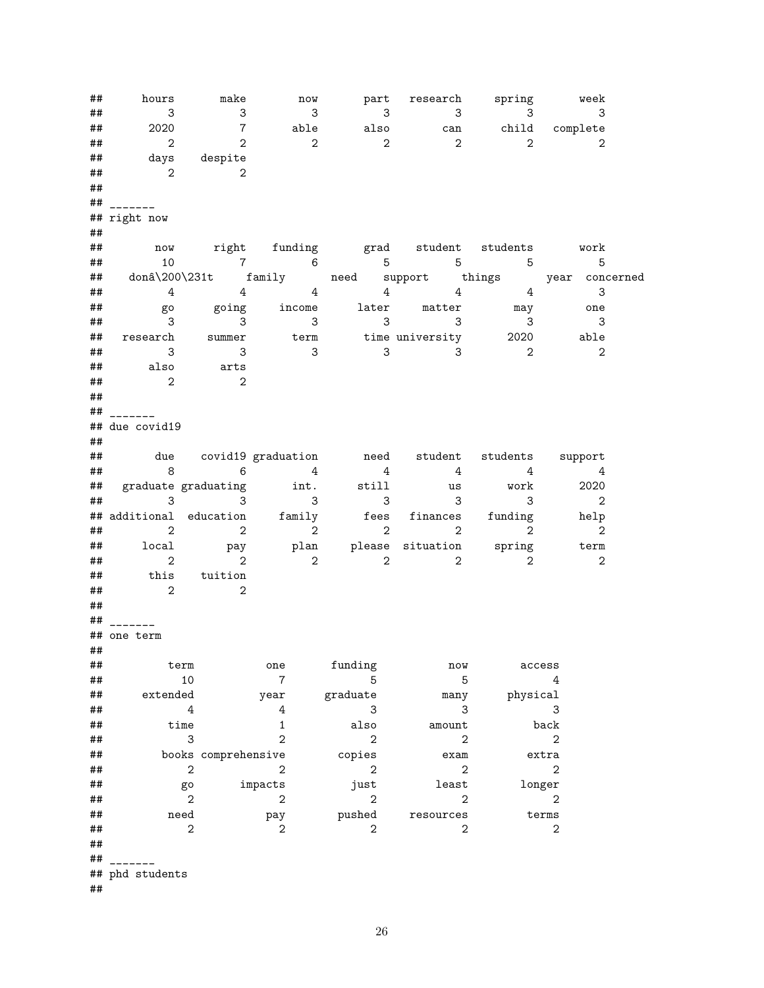## hours make now part research spring week ## 3 3 3 3 3 3 3 ## 2020 7 able also can child complete ## 2 2 2 2 2 2 2 ## days despite ## 2 2 ## ## \_\_\_\_\_\_\_ ## right now ## ## now right funding grad student students work ## 10 7 6 5 5 5 5 ## donâ\200\231t family need support things year concerned ## 4 4 4 4 4 3 ## go going income later matter may one ## 3 3 3 3 3 3 3 ## research summer term time university 2020 able ## 3 3 3 3 3 2 2 ## also arts  $\#$   $\#$  2 2 ## ## \_\_\_\_\_\_\_ ## due covid19 ## ## due covid19 graduation need student students support ## 8 6 4 4 4 4 4 ## graduate graduating int. still us work 2020 ## 3 3 3 3 3 3 2 ## additional education family fees finances funding help ## 2 2 2 2 2 2 2 ## local pay plan please situation spring term ## 2 2 2 2 2 2 2 ## this tuition  $\#$   $\#$   $\frac{2}{2}$   $\frac{2}{2}$ ## ## \_\_\_\_\_\_\_ ## one term ##<br>## ## term one funding now access ## 10 7 5 5 4 ## extended year graduate many physical **##** 4 4 3 3 3 3 ## time 1 also amount back ## 3 2 2 2 2 ## books comprehensive copies exam extra ## 2 2 2 2 2 ## go impacts just least longer ## 2 2 2 2 2 ## need pay pushed resources terms  $\#$   $\#$  2 2 2 2 2 2 ##  $##$ ## phd students ##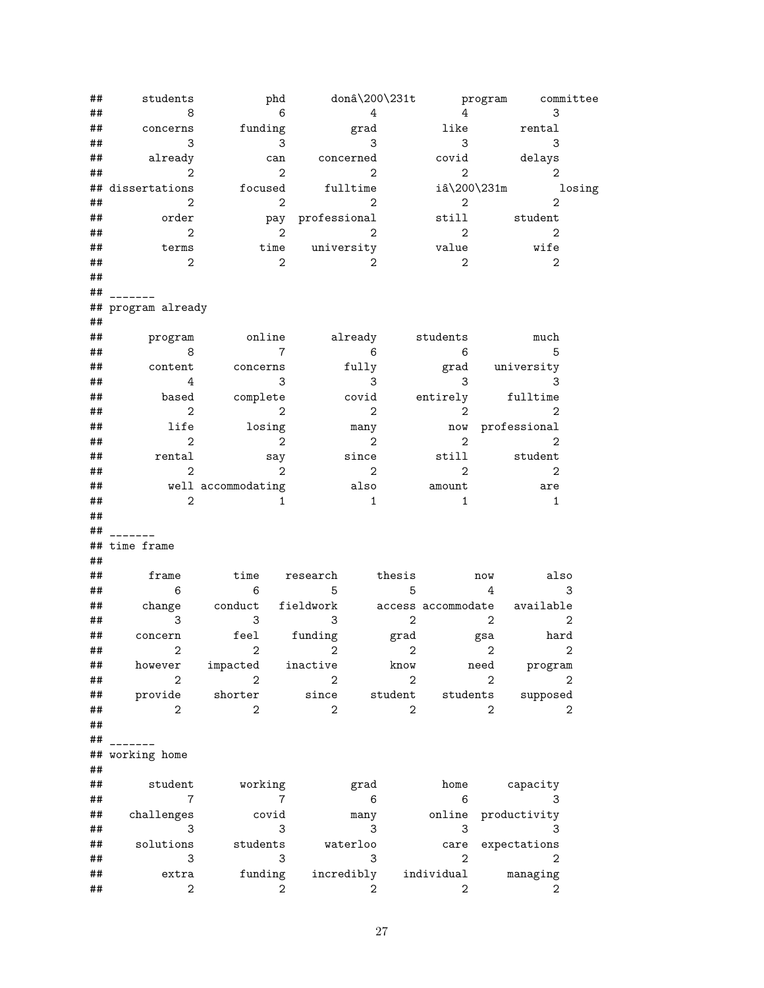| ##      | students                   | phd                        |                            |                            |                |                            |                 | donâ\200\231t program committee |
|---------|----------------------------|----------------------------|----------------------------|----------------------------|----------------|----------------------------|-----------------|---------------------------------|
| ##      | 8                          | $6\overline{6}$            |                            | $\overline{4}$             |                |                            | $4\overline{ }$ | 3                               |
| ##      | concerns                   | funding                    |                            | $_{\rm grad}$              |                | like                       |                 | rental                          |
| ##      | 3                          | $\sim$ 3                   |                            | 3                          |                | $\overline{\phantom{a}}$ 3 |                 | 3                               |
| ##      | already                    | can                        | concerned                  |                            |                |                            |                 | covid delays                    |
| ##      | $\overline{\phantom{a}}$ 2 | $\mathbf{2}$               |                            | $\overline{\phantom{a}}$ 2 |                | 2                          |                 | $\overline{2}$                  |
|         | ## dissertations           | focused                    | fulltime                   |                            |                |                            |                 | $i\hat{a}\200\231m$ losing      |
| ##      | 2                          | $\overline{\phantom{a}}^2$ |                            | $\overline{\phantom{a}}$   |                | $\overline{\phantom{a}}$ 2 |                 | $\overline{2}$                  |
| ##      | order                      |                            | pay professional           |                            |                | still                      |                 | student                         |
| ##      | $\overline{2}$             | $\overline{\mathbf{2}}$    | $\overline{\phantom{a}}$ 2 |                            |                | $\overline{\phantom{a}}$ 2 |                 | $\overline{\phantom{a}}$        |
| ##      | terms                      |                            | time university            |                            |                | value                      |                 | wife                            |
| ##      | $\overline{\phantom{a}}$ 2 | $\overline{2}$             |                            | 2                          |                | $\overline{\phantom{a}}$ 2 |                 | $\overline{\phantom{0}}$ 2      |
| ##      |                            |                            |                            |                            |                |                            |                 |                                 |
| ##      |                            |                            |                            |                            |                |                            |                 |                                 |
|         | ## program already         |                            |                            |                            |                |                            |                 |                                 |
| ##      |                            |                            |                            |                            |                |                            |                 |                                 |
| ##      | program                    | online already             |                            |                            |                | students                   |                 | much                            |
| ##      | 8                          | $\overline{7}$             |                            | $\overline{6}$             |                | $\overline{6}$             |                 | $5^{\circ}$                     |
| ##      | content                    | concerns                   |                            | fully                      |                |                            |                 | grad university                 |
| ##      | 4                          | 3                          |                            | $\overline{\phantom{a}}$ 3 |                | 3                          |                 | 3                               |
| ##      | based                      | complete                   |                            | covid                      |                | entirely                   |                 | fulltime                        |
| ##      | $\overline{2}$             | 2                          |                            | 2                          |                | $\overline{2}$             |                 | $\overline{2}$                  |
| ##      | life                       | losing                     |                            | many                       |                |                            |                 | now professional                |
| ##      | $\overline{2}$             | $\overline{\phantom{a}}$   |                            | 2                          |                | $\overline{2}$             |                 | $\overline{2}$                  |
| ##      | rental                     | say                        |                            | since                      |                | still                      |                 | student                         |
| ##      | $\overline{2}$             | $\overline{2}$             |                            | $\overline{\phantom{a}}$ 2 |                | $\overline{2}$             |                 | $\overline{2}$                  |
| ##      |                            | well accommodating         |                            | also                       |                | amount                     |                 | are                             |
| ##      | $\overline{2}$             | $\mathbf{1}$               |                            | $\overline{\phantom{1}}$   |                | $\mathbf{1}$               |                 | 1                               |
| ##      |                            |                            |                            |                            |                |                            |                 |                                 |
| ##      |                            |                            |                            |                            |                |                            |                 |                                 |
|         | ## time frame              |                            |                            |                            |                |                            |                 |                                 |
| ##      |                            |                            |                            |                            |                |                            |                 |                                 |
| ##      | frame                      | time research              |                            |                            | thesis         |                            | now             | also                            |
| ##      | $6\overline{6}$            | $6\overline{6}$            | $\overline{5}$             |                            | 5              |                            | $\overline{4}$  | 3                               |
| ##      |                            | change conduct fieldwork   |                            |                            |                |                            |                 | access accommodate available    |
| ##      | 3                          | $\overline{\phantom{a}}$ 3 | 3                          |                            | $\overline{2}$ |                            | 2               | $\overline{2}$                  |
| ##      | concern                    | feel funding               |                            |                            |                | grad gsa                   |                 | hard                            |
| $\# \#$ |                            | $2$ $2$ $2$ $2$ $2$ $2$    |                            |                            |                |                            |                 |                                 |
| ##      | however                    | impacted inactive          |                            |                            | know           |                            | need            | program                         |
| ##      | $\mathbf{2}$               | $\overline{2}$             | $\overline{2}$             |                            | $\mathbf{2}$   |                            | 2               | $\overline{2}$                  |
| ##      | provide                    | shorter                    | since                      |                            | student        | students                   |                 | supposed                        |
| ##      | 2                          | $\overline{2}$             | $\mathbf{2}$               |                            | $\overline{2}$ |                            | $\overline{2}$  | 2                               |
| ##      |                            |                            |                            |                            |                |                            |                 |                                 |
| ##      |                            |                            |                            |                            |                |                            |                 |                                 |
|         | ## working home            |                            |                            |                            |                |                            |                 |                                 |
| ##      |                            |                            |                            |                            |                |                            |                 |                                 |
| ##      | student                    | working                    |                            | grad                       |                | home                       |                 | capacity                        |
| ##      | $\overline{7}$             | $\overline{7}$             |                            | 6                          |                | 6                          |                 | 3                               |
| ##      | challenges                 | covid                      |                            | many                       |                | online                     |                 | productivity                    |
| ##      | 3                          | 3                          |                            | 3                          |                | 3                          |                 | 3                               |
| ##      | solutions                  | students                   |                            | waterloo                   |                | care                       |                 | expectations                    |
| ##      | 3                          | 3                          |                            | 3                          |                | 2                          |                 | $\mathbf{2}$                    |
| ##      | extra                      | funding                    | incredibly                 |                            |                | individual                 |                 | managing                        |
| ##      | $\mathbf{2}$               | $\mathbf{2}$               |                            | 2                          |                | 2                          |                 | 2                               |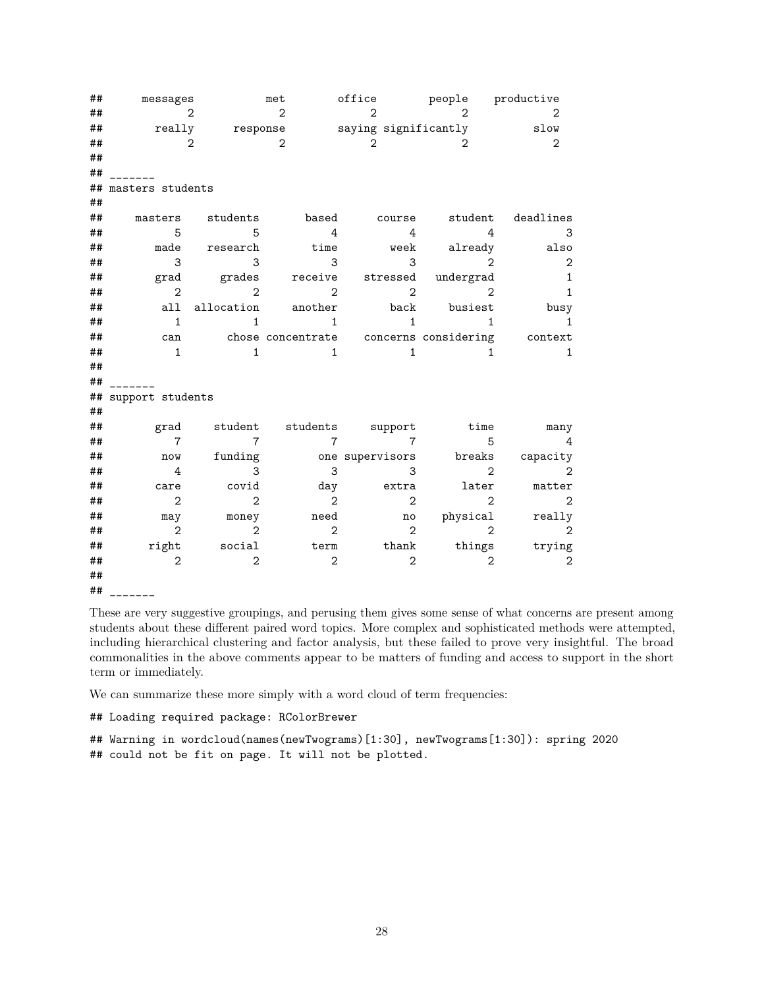| ## | messages            |                | met                         | $of \texttt{fice}$                     | people productive |                                                    |
|----|---------------------|----------------|-----------------------------|----------------------------------------|-------------------|----------------------------------------------------|
| ## | $\mathcal{L}$       |                | $\mathcal{D}_{\mathcal{L}}$ | 2                                      | 2.                | 2                                                  |
| ## |                     |                |                             | really response saying significantly   |                   | slow                                               |
| ## | 2                   |                | $\overline{2}$              | $\overline{2}$                         | $\mathfrak{D}$    | 2                                                  |
| ## |                     |                |                             |                                        |                   |                                                    |
| ## |                     |                |                             |                                        |                   |                                                    |
| ## | masters students    |                |                             |                                        |                   |                                                    |
| ## |                     |                |                             |                                        |                   |                                                    |
| ## | masters             | students       |                             | based course                           |                   | student deadlines                                  |
| ## | 5                   | $5^{\circ}$    | $\overline{4}$              | 4                                      | 4                 | 3                                                  |
| ## | made                | research       | time                        |                                        | week already      | also                                               |
| ## | 3                   | 3              | 3                           | 3                                      | $\mathcal{L}$     | $\mathbf{2}$                                       |
| ## |                     |                |                             | grad grades receive stressed undergrad |                   | 1                                                  |
| ## | $\overline{2}$      | 2              | 2                           | 2                                      | 2                 | 1                                                  |
| ## |                     |                | all allocation another      |                                        | back busiest      | busy                                               |
| ## | $\mathbf{1}$        | 1              | $\mathbf{1}$                | $\mathbf{1}$                           | $\mathbf{1}$      | 1                                                  |
| ## |                     |                |                             |                                        |                   | can chose concentrate concerns considering context |
| ## | $\mathbf{1}$        | $\mathbf{1}$   | $\mathbf{1}$                | $\mathbf{1}$                           | $\mathbf{1}$      | $\mathbf{1}$                                       |
| ## |                     |                |                             |                                        |                   |                                                    |
| ## |                     |                |                             |                                        |                   |                                                    |
|    | ## support students |                |                             |                                        |                   |                                                    |
| ## |                     |                |                             |                                        |                   |                                                    |
| ## |                     |                |                             | grad student students support          | time              | many                                               |
| ## | $\overline{7}$      | $\overline{7}$ | $\overline{7}$              | $\overline{7}$                         | 5                 | 4                                                  |
| ## | now                 | funding        |                             |                                        |                   | one supervisors breaks capacity                    |
| ## | $\overline{4}$      | 3              | 3                           | 3                                      | $\overline{2}$    | $\mathbf{2}$                                       |
| ## | care                | covid          |                             | day extra                              | later             | matter                                             |
| ## | $\overline{2}$      | $\overline{2}$ | $\overline{2}$              | $\overline{2}$                         | $\overline{2}$    | $\mathbf{2}$                                       |
| ## | may                 | money          | need                        |                                        | no physical       | really                                             |
| ## | $\overline{2}$      | $\overline{2}$ | $\overline{2}$              | $\overline{2}$                         | $\overline{2}$    | $\overline{2}$                                     |
| ## | right               | social         |                             | term thank                             | things            | trying                                             |
| ## | $\overline{2}$      | $\overline{2}$ | $\overline{2}$              | $\mathbf{2}$                           | 2                 | $\overline{2}$                                     |
| ## |                     |                |                             |                                        |                   |                                                    |

## \_\_\_\_\_\_\_

These are very suggestive groupings, and perusing them gives some sense of what concerns are present among students about these different paired word topics. More complex and sophisticated methods were attempted, including hierarchical clustering and factor analysis, but these failed to prove very insightful. The broad commonalities in the above comments appear to be matters of funding and access to support in the short term or immediately.

We can summarize these more simply with a word cloud of term frequencies:

## Loading required package: RColorBrewer

## Warning in wordcloud(names(newTwograms)[1:30], newTwograms[1:30]): spring 2020 ## could not be fit on page. It will not be plotted.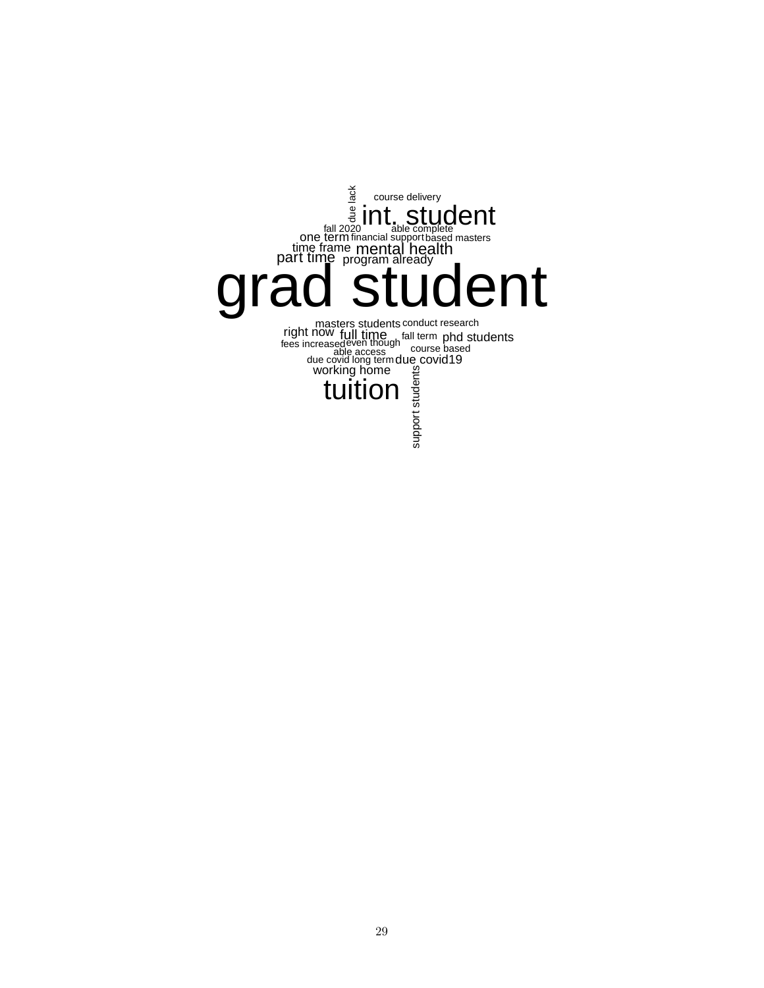